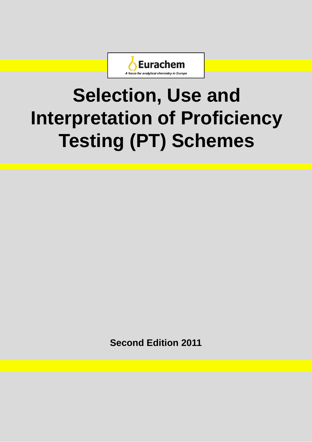

# **Selection , Use and Use Interpretation of Proficiency Testing (PT) Schemes**

**Second Edition 2011**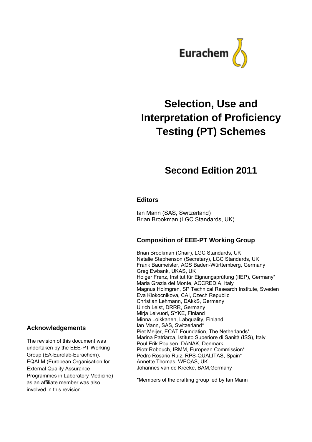

# **Selection, Use and Interpretation of Proficiency Testing (PT) Schemes**

# **Second Edition 2011**

## **Editors**

Ian Mann (SAS, Switzerland) Brian Brookman (LGC Standards, UK)

## **Composition of EEE-PT Working Group**

Brian Brookman (Chair), LGC Standards, UK Natalie Stephenson (Secretary), LGC Standards, UK Frank Baumeister, AQS Baden-Württemberg, Germany Greg Ewbank, UKAS, UK Holger Frenz, Institut für Eignungsprüfung (IfEP), Germany\* Maria Grazia del Monte, ACCREDIA, Italy Magnus Holmgren, SP Technical Research Institute, Sweden Eva Klokocnikova, CAI, Czech Republic Christian Lehmann, DAkkS, Germany Ulrich Leist, DRRR, Germany Mirja Leivuori, SYKE, Finland Minna Loikkanen, Labquality, Finland Ian Mann, SAS, Switzerland\* Piet Meijer, ECAT Foundation, The Netherlands\* Marina Patriarca, Istituto Superiore di Sanità (ISS), Italy Poul Erik Poulsen, DANAK, Denmark Piotr Robouch, IRMM, European Commission\* Pedro Rosario Ruiz, RPS-QUALITAS, Spain\* Annette Thomas, WEQAS, UK Johannes van de Kreeke, BAM,Germany

\*Members of the drafting group led by Ian Mann

## **Acknowledgements**

The revision of this document was undertaken by the EEE-PT Working Group (EA-Eurolab-Eurachem). EQALM (European Organisation for External Quality Assurance Programmes in Laboratory Medicine) as an affiliate member was also involved in this revision.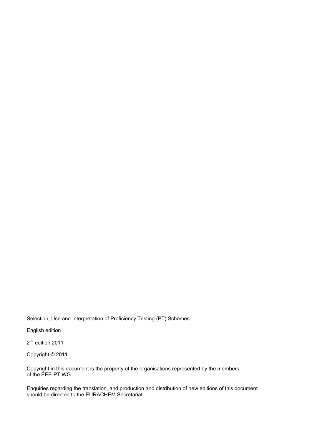## Selection, Use and Interpretation of Proficiency Testing (PT) Schemes

English edition

2<sup>nd</sup> edition 2011

Copyright © 2011

Copyright in this document is the property of the organisations represented by the members of the EEE-PT WG

Enquiries regarding the translation, and production and distribution of new editions of this document should be directed to the EURACHEM Secretariat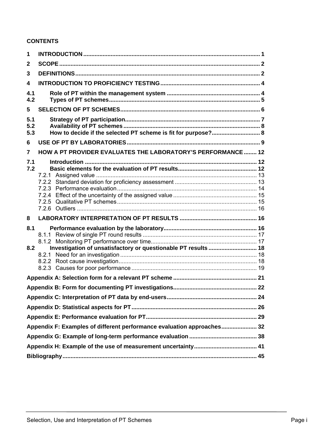## **CONTENTS**

| 1                             |                                                                        |  |
|-------------------------------|------------------------------------------------------------------------|--|
| 2                             |                                                                        |  |
| 3                             |                                                                        |  |
| 4                             |                                                                        |  |
| 4.1<br>4.2                    |                                                                        |  |
| 5                             |                                                                        |  |
| 5.1<br>5.2<br>5.3             | How to decide if the selected PT scheme is fit for purpose? 8          |  |
| 6                             |                                                                        |  |
| 7                             | HOW A PT PROVIDER EVALUATES THE LABORATORY'S PERFORMANCE  12           |  |
| 7.1<br>7.2<br>8<br>8.1<br>8.2 | Investigation of unsatisfactory or questionable PT results  18         |  |
|                               |                                                                        |  |
|                               |                                                                        |  |
|                               |                                                                        |  |
|                               |                                                                        |  |
|                               |                                                                        |  |
|                               | Appendix F: Examples of different performance evaluation approaches 32 |  |
|                               |                                                                        |  |
|                               |                                                                        |  |
|                               |                                                                        |  |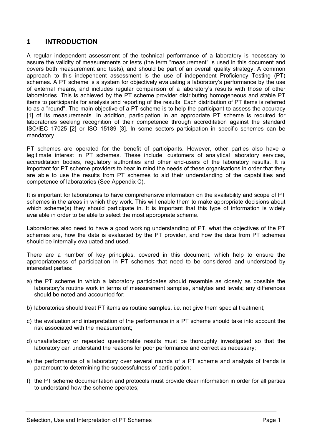## **1 INTRODUCTION**

A regular independent assessment of the technical performance of a laboratory is necessary to assure the validity of measurements or tests (the term "measurement" is used in this document and covers both measurement and tests), and should be part of an overall quality strategy. A common approach to this independent assessment is the use of independent Proficiency Testing (PT) schemes. A PT scheme is a system for objectively evaluating a laboratory's performance by the use of external means, and includes regular comparison of a laboratory's results with those of other laboratories. This is achieved by the PT scheme provider distributing homogeneous and stable PT items to participants for analysis and reporting of the results. Each distribution of PT items is referred to as a "round". The main objective of a PT scheme is to help the participant to assess the accuracy [1] of its measurements. In addition, participation in an appropriate PT scheme is required for laboratories seeking recognition of their competence through accreditation against the standard ISO/IEC 17025 [2] or ISO 15189 [3]. In some sectors participation in specific schemes can be mandatory.

PT schemes are operated for the benefit of participants. However, other parties also have a legitimate interest in PT schemes. These include, customers of analytical laboratory services, accreditation bodies, regulatory authorities and other end-users of the laboratory results. It is important for PT scheme providers to bear in mind the needs of these organisations in order that they are able to use the results from PT schemes to aid their understanding of the capabilities and competence of laboratories (See Appendix C).

It is important for laboratories to have comprehensive information on the availability and scope of PT schemes in the areas in which they work. This will enable them to make appropriate decisions about which scheme(s) they should participate in. It is important that this type of information is widely available in order to be able to select the most appropriate scheme.

Laboratories also need to have a good working understanding of PT, what the objectives of the PT schemes are, how the data is evaluated by the PT provider, and how the data from PT schemes should be internally evaluated and used.

There are a number of key principles, covered in this document, which help to ensure the appropriateness of participation in PT schemes that need to be considered and understood by interested parties:

- a) the PT scheme in which a laboratory participates should resemble as closely as possible the laboratory's routine work in terms of measurement samples, analytes and levels; any differences should be noted and accounted for;
- b) laboratories should treat PT items as routine samples, i.e. not give them special treatment;
- c) the evaluation and interpretation of the performance in a PT scheme should take into account the risk associated with the measurement;
- d) unsatisfactory or repeated questionable results must be thoroughly investigated so that the laboratory can understand the reasons for poor performance and correct as necessary;
- e) the performance of a laboratory over several rounds of a PT scheme and analysis of trends is paramount to determining the successfulness of participation;
- f) the PT scheme documentation and protocols must provide clear information in order for all parties to understand how the scheme operates;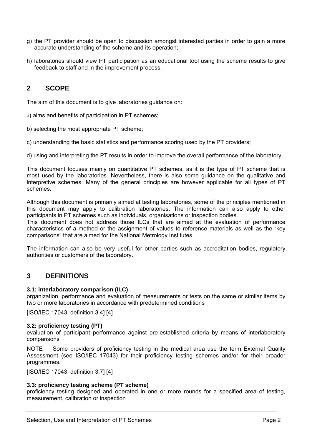- g) the PT provider should be open to discussion amongst interested parties in order to gain a more accurate understanding of the scheme and its operation;
- h) laboratories should view PT participation as an educational tool using the scheme results to give feedback to staff and in the improvement process.

## **2 SCOPE**

The aim of this document is to give laboratories guidance on:

a) aims and benefits of participation in PT schemes;

b) selecting the most appropriate PT scheme;

c) understanding the basic statistics and performance scoring used by the PT providers;

d) using and interpreting the PT results in order to improve the overall performance of the laboratory.

This document focuses mainly on quantitative PT schemes, as it is the type of PT scheme that is most used by the laboratories. Nevertheless, there is also some guidance on the qualitative and interpretive schemes. Many of the general principles are however applicable for all types of PT schemes.

Although this document is primarily aimed at testing laboratories, some of the principles mentioned in this document may apply to calibration laboratories. The information can also apply to other participants in PT schemes such as individuals, organisations or inspection bodies.

This document does not address those ILCs that are aimed at the evaluation of performance characteristics of a method or the assignment of values to reference materials as well as the "key comparisons" that are aimed for the National Metrology Institutes.

The information can also be very useful for other parties such as accreditation bodies, regulatory authorities or customers of the laboratory.

## **3 DEFINITIONS**

#### **3.1: interlaboratory comparison (ILC)**

organization, performance and evaluation of measurements or tests on the same or similar items by two or more laboratories in accordance with predetermined conditions

[ISO/IEC 17043, definition 3.4] [4]

## **3.2: proficiency testing (PT)**

evaluation of participant performance against pre-established criteria by means of interlaboratory comparisons

NOTE Some providers of proficiency testing in the medical area use the term External Quality Assessment (see ISO/IEC 17043) for their proficiency testing schemes and/or for their broader programmes.

[ISO/IEC 17043, definition 3.7] [4]

## **3.3: proficiency testing scheme (PT scheme)**

proficiency testing designed and operated in one or more rounds for a specified area of testing, measurement, calibration or inspection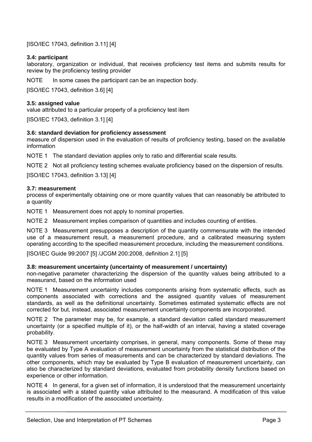[ISO/IEC 17043, definition 3.11] [4]

## **3.4: participant**

laboratory, organization or individual, that receives proficiency test items and submits results for review by the proficiency testing provider

NOTE In some cases the participant can be an inspection body.

[ISO/IEC 17043, definition 3.6] [4]

## **3.5: assigned value**

value attributed to a particular property of a proficiency test item

[ISO/IEC 17043, definition 3.1] [4]

## **3.6: standard deviation for proficiency assessment**

measure of dispersion used in the evaluation of results of proficiency testing, based on the available information

NOTE 1 The standard deviation applies only to ratio and differential scale results.

NOTE 2 Not all proficiency testing schemes evaluate proficiency based on the dispersion of results.

[ISO/IEC 17043, definition 3.13] [4]

## **3.7: measurement**

process of experimentally obtaining one or more quantity values that can reasonably be attributed to a quantity

NOTE 1 Measurement does not apply to nominal properties.

NOTE 2 Measurement implies comparison of quantities and includes counting of entities.

NOTE 3 Measurement presupposes a description of the quantity commensurate with the intended use of a measurement result, a measurement procedure, and a calibrated measuring system operating according to the specified measurement procedure, including the measurement conditions.

[ISO/IEC Guide 99:2007 [5] /JCGM 200:2008, definition 2.1] [5]

## **3.8: measurement uncertainty (uncertainty of measurement / uncertainty)**

non-negative parameter characterizing the dispersion of the quantity values being attributed to a measurand, based on the information used

NOTE 1 Measurement uncertainty includes components arising from systematic effects, such as components associated with corrections and the assigned quantity values of measurement standards, as well as the definitional uncertainty. Sometimes estimated systematic effects are not corrected for but, instead, associated measurement uncertainty components are incorporated.

NOTE 2 The parameter may be, for example, a standard deviation called standard measurement uncertainty (or a specified multiple of it), or the half-width of an interval, having a stated coverage probability.

NOTE 3 Measurement uncertainty comprises, in general, many components. Some of these may be evaluated by Type A evaluation of measurement uncertainty from the statistical distribution of the quantity values from series of measurements and can be characterized by standard deviations. The other components, which may be evaluated by Type B evaluation of measurement uncertainty, can also be characterized by standard deviations, evaluated from probability density functions based on experience or other information.

NOTE 4 In general, for a given set of information, it is understood that the measurement uncertainty is associated with a stated quantity value attributed to the measurand. A modification of this value results in a modification of the associated uncertainty.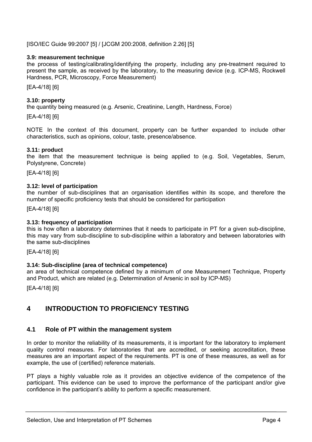[ISO/IEC Guide 99:2007 [5] / [JCGM 200:2008, definition 2.26] [5]

## **3.9: measurement technique**

the process of testing/calibrating/identifying the property, including any pre-treatment required to present the sample, as received by the laboratory, to the measuring device (e.g. ICP-MS, Rockwell Hardness, PCR, Microscopy, Force Measurement)

[EA-4/18] [6]

## **3.10: property**

the quantity being measured (e.g. Arsenic, Creatinine, Length, Hardness, Force)

[EA-4/18] [6]

NOTE In the context of this document, property can be further expanded to include other characteristics, such as opinions, colour, taste, presence/absence.

## **3.11: product**

the item that the measurement technique is being applied to (e.g. Soil, Vegetables, Serum, Polystyrene, Concrete)

[EA-4/18] [6]

## **3.12: level of participation**

the number of sub-disciplines that an organisation identifies within its scope, and therefore the number of specific proficiency tests that should be considered for participation

[EA-4/18] [6]

## **3.13: frequency of participation**

this is how often a laboratory determines that it needs to participate in PT for a given sub-discipline, this may vary from sub-discipline to sub-discipline within a laboratory and between laboratories with the same sub-disciplines

[EA-4/18] [6]

## **3.14: Sub-discipline (area of technical competence)**

an area of technical competence defined by a minimum of one Measurement Technique, Property and Product, which are related (e.g. Determination of Arsenic in soil by ICP-MS)

[EA-4/18] [6]

## **4 INTRODUCTION TO PROFICIENCY TESTING**

## **4.1 Role of PT within the management system**

In order to monitor the reliability of its measurements, it is important for the laboratory to implement quality control measures. For laboratories that are accredited, or seeking accreditation, these measures are an important aspect of the requirements. PT is one of these measures, as well as for example, the use of (certified) reference materials.

PT plays a highly valuable role as it provides an objective evidence of the competence of the participant. This evidence can be used to improve the performance of the participant and/or give confidence in the participant's ability to perform a specific measurement.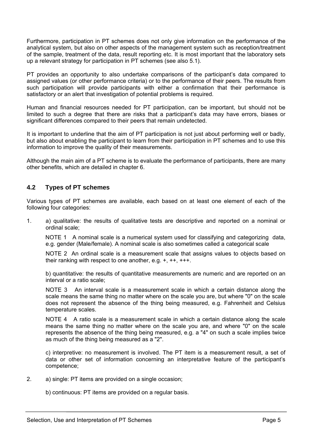Furthermore, participation in PT schemes does not only give information on the performance of the analytical system, but also on other aspects of the management system such as reception/treatment of the sample, treatment of the data, result reporting etc. It is most important that the laboratory sets up a relevant strategy for participation in PT schemes (see also 5.1).

PT provides an opportunity to also undertake comparisons of the participant's data compared to assigned values (or other performance criteria) or to the performance of their peers. The results from such participation will provide participants with either a confirmation that their performance is satisfactory or an alert that investigation of potential problems is required.

Human and financial resources needed for PT participation, can be important, but should not be limited to such a degree that there are risks that a participant's data may have errors, biases or significant differences compared to their peers that remain undetected.

It is important to underline that the aim of PT participation is not just about performing well or badly, but also about enabling the participant to learn from their participation in PT schemes and to use this information to improve the quality of their measurements.

Although the main aim of a PT scheme is to evaluate the performance of participants, there are many other benefits, which are detailed in chapter 6.

## **4.2 Types of PT schemes**

Various types of PT schemes are available, each based on at least one element of each of the following four categories:

1. a) qualitative: the results of qualitative tests are descriptive and reported on a nominal or ordinal scale;

NOTE 1 A nominal scale is a numerical system used for classifying and categorizing data, e.g. gender (Male/female). A nominal scale is also sometimes called a categorical scale

 NOTE 2 An ordinal scale is a measurement scale that assigns values to objects based on their ranking with respect to one another, e.g. +, ++, +++.

 b) quantitative: the results of quantitative measurements are numeric and are reported on an interval or a ratio scale;

NOTE 3 An interval scale is a measurement scale in which a certain distance along the scale means the same thing no matter where on the scale you are, but where "0" on the scale does not represent the absence of the thing being measured, e.g. Fahrenheit and Celsius temperature scales.

NOTE 4 A ratio scale is a measurement scale in which a certain distance along the scale means the same thing no matter where on the scale you are, and where "0" on the scale represents the absence of the thing being measured, e.g. a "4" on such a scale implies twice as much of the thing being measured as a "2".

 c) interpretive: no measurement is involved. The PT item is a measurement result, a set of data or other set of information concerning an interpretative feature of the participant's competence;

- 2. a) single: PT items are provided on a single occasion;
	- b) continuous: PT items are provided on a regular basis.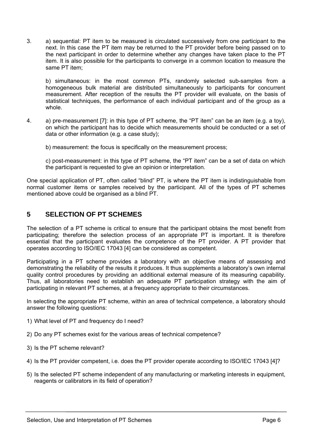3. a) sequential: PT item to be measured is circulated successively from one participant to the next. In this case the PT item may be returned to the PT provider before being passed on to the next participant in order to determine whether any changes have taken place to the PT item. It is also possible for the participants to converge in a common location to measure the same PT item;

 b) simultaneous: in the most common PTs, randomly selected sub-samples from a homogeneous bulk material are distributed simultaneously to participants for concurrent measurement. After reception of the results the PT provider will evaluate, on the basis of statistical techniques, the performance of each individual participant and of the group as a whole.

4. a) pre-measurement [7]: in this type of PT scheme, the "PT item" can be an item (e.g. a toy), on which the participant has to decide which measurements should be conducted or a set of data or other information (e.g. a case study);

b) measurement: the focus is specifically on the measurement process;

 c) post-measurement: in this type of PT scheme, the "PT item" can be a set of data on which the participant is requested to give an opinion or interpretation.

One special application of PT, often called "blind" PT, is where the PT item is indistinguishable from normal customer items or samples received by the participant. All of the types of PT schemes mentioned above could be organised as a blind PT.

## **5 SELECTION OF PT SCHEMES**

The selection of a PT scheme is critical to ensure that the participant obtains the most benefit from participating; therefore the selection process of an appropriate PT is important. It is therefore essential that the participant evaluates the competence of the PT provider. A PT provider that operates according to ISO/IEC 17043 [4] can be considered as competent.

Participating in a PT scheme provides a laboratory with an objective means of assessing and demonstrating the reliability of the results it produces. It thus supplements a laboratory's own internal quality control procedures by providing an additional external measure of its measuring capability. Thus, all laboratories need to establish an adequate PT participation strategy with the aim of participating in relevant PT schemes, at a frequency appropriate to their circumstances.

In selecting the appropriate PT scheme, within an area of technical competence, a laboratory should answer the following questions:

- 1) What level of PT and frequency do I need?
- 2) Do any PT schemes exist for the various areas of technical competence?
- 3) Is the PT scheme relevant?
- 4) Is the PT provider competent, i.e. does the PT provider operate according to ISO/IEC 17043 [4]?
- 5) Is the selected PT scheme independent of any manufacturing or marketing interests in equipment, reagents or calibrators in its field of operation?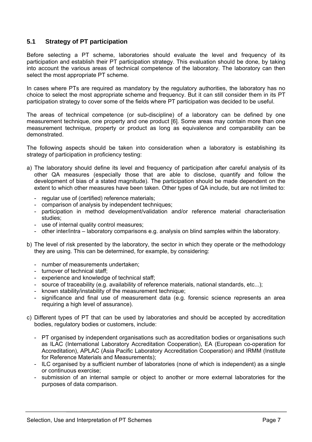## **5.1 Strategy of PT participation**

Before selecting a PT scheme, laboratories should evaluate the level and frequency of its participation and establish their PT participation strategy. This evaluation should be done, by taking into account the various areas of technical competence of the laboratory. The laboratory can then select the most appropriate PT scheme.

In cases where PTs are required as mandatory by the regulatory authorities, the laboratory has no choice to select the most appropriate scheme and frequency. But it can still consider them in its PT participation strategy to cover some of the fields where PT participation was decided to be useful.

The areas of technical competence (or sub-discipline) of a laboratory can be defined by one measurement technique, one property and one product [6]. Some areas may contain more than one measurement technique, property or product as long as equivalence and comparability can be demonstrated.

The following aspects should be taken into consideration when a laboratory is establishing its strategy of participation in proficiency testing:

- a) The laboratory should define its level and frequency of participation after careful analysis of its other QA measures (especially those that are able to disclose, quantify and follow the development of bias of a stated magnitude). The participation should be made dependent on the extent to which other measures have been taken. Other types of QA include, but are not limited to:
	- regular use of (certified) reference materials;
	- comparison of analysis by independent techniques;
	- participation in method development/validation and/or reference material characterisation studies;
	- use of internal quality control measures;
	- other inter/intra laboratory comparisons e.g. analysis on blind samples within the laboratory.
- b) The level of risk presented by the laboratory, the sector in which they operate or the methodology they are using. This can be determined, for example, by considering:
	- number of measurements undertaken;
	- turnover of technical staff;
	- experience and knowledge of technical staff;
	- source of traceability (e.g. availability of reference materials, national standards, etc...);
	- known stability/instability of the measurement technique;
	- significance and final use of measurement data (e.g. forensic science represents an area requiring a high level of assurance).
- c) Different types of PT that can be used by laboratories and should be accepted by accreditation bodies, regulatory bodies or customers, include:
	- PT organised by independent organisations such as accreditation bodies or organisations such as ILAC (International Laboratory Accreditation Cooperation), EA (European co-operation for Accreditation), APLAC (Asia Pacific Laboratory Accreditation Cooperation) and IRMM (Institute for Reference Materials and Measurements);
	- ILC organised by a sufficient number of laboratories (none of which is independent) as a single or continuous exercise;
	- submission of an internal sample or object to another or more external laboratories for the purposes of data comparison.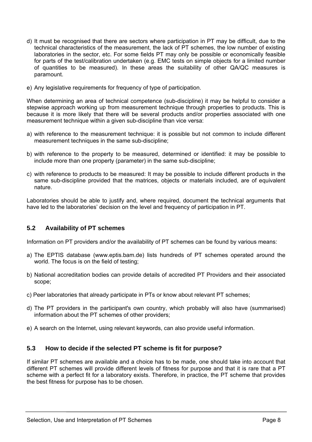- d) It must be recognised that there are sectors where participation in PT may be difficult, due to the technical characteristics of the measurement, the lack of PT schemes, the low number of existing laboratories in the sector, etc. For some fields PT may only be possible or economically feasible for parts of the test/calibration undertaken (e.g. EMC tests on simple objects for a limited number of quantities to be measured). In these areas the suitability of other QA/QC measures is paramount.
- e) Any legislative requirements for frequency of type of participation.

When determining an area of technical competence (sub-discipline) it may be helpful to consider a stepwise approach working up from measurement technique through properties to products. This is because it is more likely that there will be several products and/or properties associated with one measurement technique within a given sub-discipline than vice versa:

- a) with reference to the measurement technique: it is possible but not common to include different measurement techniques in the same sub-discipline;
- b) with reference to the property to be measured, determined or identified: it may be possible to include more than one property (parameter) in the same sub-discipline;
- c) with reference to products to be measured: It may be possible to include different products in the same sub-discipline provided that the matrices, objects or materials included, are of equivalent nature.

Laboratories should be able to justify and, where required, document the technical arguments that have led to the laboratories' decision on the level and frequency of participation in PT.

## **5.2 Availability of PT schemes**

Information on PT providers and/or the availability of PT schemes can be found by various means:

- a) The EPTIS database (www.eptis.bam.de) lists hundreds of PT schemes operated around the world. The focus is on the field of testing;
- b) National accreditation bodies can provide details of accredited PT Providers and their associated scope;
- c) Peer laboratories that already participate in PTs or know about relevant PT schemes;
- d) The PT providers in the participant's own country, which probably will also have (summarised) information about the PT schemes of other providers;
- e) A search on the Internet, using relevant keywords, can also provide useful information.

## **5.3 How to decide if the selected PT scheme is fit for purpose?**

If similar PT schemes are available and a choice has to be made, one should take into account that different PT schemes will provide different levels of fitness for purpose and that it is rare that a PT scheme with a perfect fit for a laboratory exists. Therefore, in practice, the PT scheme that provides the best fitness for purpose has to be chosen.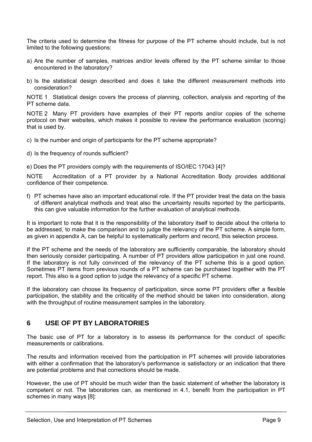The criteria used to determine the fitness for purpose of the PT scheme should include, but is not limited to the following questions:

- a) Are the number of samples, matrices and/or levels offered by the PT scheme similar to those encountered in the laboratory?
- b) Is the statistical design described and does it take the different measurement methods into consideration?

NOTE 1 Statistical design covers the process of planning, collection, analysis and reporting of the PT scheme data.

NOTE 2 Many PT providers have examples of their PT reports and/or copies of the scheme protocol on their websites, which makes it possible to review the performance evaluation (scoring) that is used by.

- c) Is the number and origin of participants for the PT scheme appropriate?
- d) Is the frequency of rounds sufficient?

e) Does the PT providers comply with the requirements of ISO/IEC 17043 [4]?

NOTE Accreditation of a PT provider by a National Accreditation Body provides additional confidence of their competence*.* 

f) PT schemes have also an important educational role. If the PT provider treat the data on the basis of different analytical methods and treat also the uncertainty results reported by the participants, this can give valuable information for the further evaluation of analytical methods.

It is important to note that it is the responsibility of the laboratory itself to decide about the criteria to be addressed, to make the comparison and to judge the relevancy of the PT scheme. A simple form, as given in appendix A, can be helpful to systematically perform and record, this selection process.

If the PT scheme and the needs of the laboratory are sufficiently comparable, the laboratory should then seriously consider participating. A number of PT providers allow participation in just one round. If the laboratory is not fully convinced of the relevancy of the PT scheme this is a good option. Sometimes PT items from previous rounds of a PT scheme can be purchased together with the PT report. This also is a good option to judge the relevancy of a specific PT scheme.

If the laboratory can choose its frequency of participation, since some PT providers offer a flexible participation, the stability and the criticality of the method should be taken into consideration, along with the throughput of routine measurement samples in the laboratory.

## **6 USE OF PT BY LABORATORIES**

The basic use of PT for a laboratory is to assess its performance for the conduct of specific measurements or calibrations.

The results and information received from the participation in PT schemes will provide laboratories with either a confirmation that the laboratory's performance is satisfactory or an indication that there are potential problems and that corrections should be made.

However, the use of PT should be much wider than the basic statement of whether the laboratory is competent or not. The laboratories can, as mentioned in 4.1, benefit from the participation in PT schemes in many ways [8]: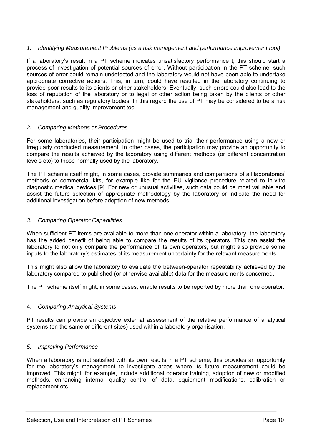## *1. Identifying Measurement Problems (as a risk management and performance improvement tool)*

If a laboratory's result in a PT scheme indicates unsatisfactory performance t, this should start a process of investigation of potential sources of error. Without participation in the PT scheme, such sources of error could remain undetected and the laboratory would not have been able to undertake appropriate corrective actions. This, in turn, could have resulted in the laboratory continuing to provide poor results to its clients or other stakeholders. Eventually, such errors could also lead to the loss of reputation of the laboratory or to legal or other action being taken by the clients or other stakeholders, such as regulatory bodies. In this regard the use of PT may be considered to be a risk management and quality improvement tool.

## *2. Comparing Methods or Procedures*

For some laboratories, their participation might be used to trial their performance using a new or irregularly conducted measurement. In other cases, the participation may provide an opportunity to compare the results achieved by the laboratory using different methods (or different concentration levels etc) to those normally used by the laboratory.

The PT scheme itself might, in some cases, provide summaries and comparisons of all laboratories' methods or commercial kits, for example like for the EU vigilance procedure related to in-vitro diagnostic medical devices [9]. For new or unusual activities, such data could be most valuable and assist the future selection of appropriate methodology by the laboratory or indicate the need for additional investigation before adoption of new methods.

## *3. Comparing Operator Capabilities*

When sufficient PT items are available to more than one operator within a laboratory, the laboratory has the added benefit of being able to compare the results of its operators. This can assist the laboratory to not only compare the performance of its own operators, but might also provide some inputs to the laboratory's estimates of its measurement uncertainty for the relevant measurements.

This might also allow the laboratory to evaluate the between-operator repeatability achieved by the laboratory compared to published (or otherwise available) data for the measurements concerned.

The PT scheme itself might, in some cases, enable results to be reported by more than one operator.

## 4. *Comparing Analytical Systems*

PT results can provide an objective external assessment of the relative performance of analytical systems (on the same or different sites) used within a laboratory organisation.

## *5. Improving Performance*

When a laboratory is not satisfied with its own results in a PT scheme, this provides an opportunity for the laboratory's management to investigate areas where its future measurement could be improved. This might, for example, include additional operator training, adoption of new or modified methods, enhancing internal quality control of data, equipment modifications, calibration or replacement etc.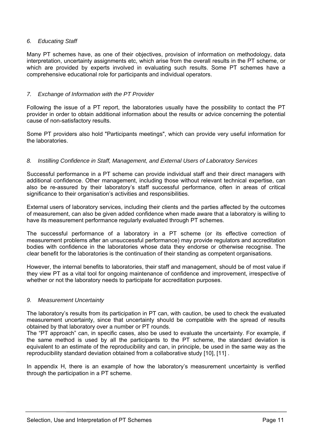## *6. Educating Staff*

Many PT schemes have, as one of their objectives, provision of information on methodology, data interpretation, uncertainty assignments etc, which arise from the overall results in the PT scheme, or which are provided by experts involved in evaluating such results. Some PT schemes have a comprehensive educational role for participants and individual operators.

## *7. Exchange of Information with the PT Provider*

Following the issue of a PT report, the laboratories usually have the possibility to contact the PT provider in order to obtain additional information about the results or advice concerning the potential cause of non-satisfactory results.

Some PT providers also hold "Participants meetings", which can provide very useful information for the laboratories.

## *8. Instilling Confidence in Staff, Management, and External Users of Laboratory Services*

Successful performance in a PT scheme can provide individual staff and their direct managers with additional confidence. Other management, including those without relevant technical expertise, can also be re-assured by their laboratory's staff successful performance, often in areas of critical significance to their organisation's activities and responsibilities.

External users of laboratory services, including their clients and the parties affected by the outcomes of measurement, can also be given added confidence when made aware that a laboratory is willing to have its measurement performance regularly evaluated through PT schemes.

The successful performance of a laboratory in a PT scheme (or its effective correction of measurement problems after an unsuccessful performance) may provide regulators and accreditation bodies with confidence in the laboratories whose data they endorse or otherwise recognise. The clear benefit for the laboratories is the continuation of their standing as competent organisations.

However, the internal benefits to laboratories, their staff and management, should be of most value if they view PT as a vital tool for ongoing maintenance of confidence and improvement, irrespective of whether or not the laboratory needs to participate for accreditation purposes.

## *9. Measurement Uncertainty*

The laboratory's results from its participation in PT can, with caution, be used to check the evaluated measurement uncertainty, since that uncertainty should be compatible with the spread of results obtained by that laboratory over a number or PT rounds.

The "PT approach" can, in specific cases, also be used to evaluate the uncertainty. For example, if the same method is used by all the participants to the PT scheme, the standard deviation is equivalent to an estimate of the reproducibility and can, in principle, be used in the same way as the reproducibility standard deviation obtained from a collaborative study [10], [11] .

In appendix H, there is an example of how the laboratory's measurement uncertainty is verified through the participation in a PT scheme.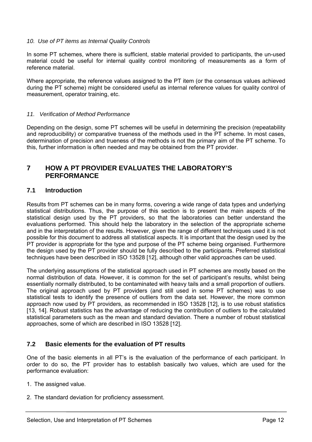## *10. Use of PT items as Internal Quality Controls*

In some PT schemes, where there is sufficient, stable material provided to participants, the un-used material could be useful for internal quality control monitoring of measurements as a form of reference material.

Where appropriate, the reference values assigned to the PT item (or the consensus values achieved during the PT scheme) might be considered useful as internal reference values for quality control of measurement, operator training, etc.

## *11. Verification of Method Performance*

Depending on the design, some PT schemes will be useful in determining the precision (repeatability and reproducibility) or comparative trueness of the methods used in the PT scheme. In most cases, determination of precision and trueness of the methods is not the primary aim of the PT scheme. To this, further information is often needed and may be obtained from the PT provider.

## **7 HOW A PT PROVIDER EVALUATES THE LABORATORY'S PERFORMANCE**

## **7.1 Introduction**

Results from PT schemes can be in many forms, covering a wide range of data types and underlying statistical distributions. Thus, the purpose of this section is to present the main aspects of the statistical design used by the PT providers, so that the laboratories can better understand the evaluations performed. This should help the laboratory in the selection of the appropriate scheme and in the interpretation of the results. However, given the range of different techniques used it is not possible for this document to address all statistical aspects. It is important that the design used by the PT provider is appropriate for the type and purpose of the PT scheme being organised. Furthermore the design used by the PT provider should be fully described to the participants. Preferred statistical techniques have been described in ISO 13528 [12], although other valid approaches can be used.

The underlying assumptions of the statistical approach used in PT schemes are mostly based on the normal distribution of data. However, it is common for the set of participant's results, whilst being essentially normally distributed, to be contaminated with heavy tails and a small proportion of outliers. The original approach used by PT providers (and still used in some PT schemes) was to use statistical tests to identify the presence of outliers from the data set. However, the more common approach now used by PT providers, as recommended in ISO 13528 [12], is to use robust statistics [13, 14]. Robust statistics has the advantage of reducing the contribution of outliers to the calculated statistical parameters such as the mean and standard deviation. There a number of robust statistical approaches, some of which are described in ISO 13528 [12].

## **7.2 Basic elements for the evaluation of PT results**

One of the basic elements in all PT's is the evaluation of the performance of each participant. In order to do so, the PT provider has to establish basically two values, which are used for the performance evaluation:

- 1. The assigned value.
- 2. The standard deviation for proficiency assessment.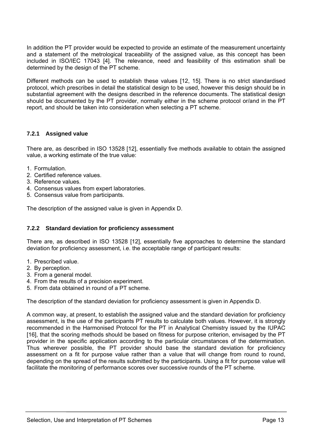In addition the PT provider would be expected to provide an estimate of the measurement uncertainty and a statement of the metrological traceability of the assigned value, as this concept has been included in ISO/IEC 17043 [4]. The relevance, need and feasibility of this estimation shall be determined by the design of the PT scheme.

Different methods can be used to establish these values [12, 15]. There is no strict standardised protocol, which prescribes in detail the statistical design to be used, however this design should be in substantial agreement with the designs described in the reference documents. The statistical design should be documented by the PT provider, normally either in the scheme protocol or/and in the PT report, and should be taken into consideration when selecting a PT scheme.

## **7.2.1 Assigned value**

There are, as described in ISO 13528 [12], essentially five methods available to obtain the assigned value, a working estimate of the true value:

- 1. Formulation.
- 2. Certified reference values.
- 3. Reference values.
- 4. Consensus values from expert laboratories.
- 5. Consensus value from participants.

The description of the assigned value is given in Appendix D.

## **7.2.2 Standard deviation for proficiency assessment**

There are, as described in ISO 13528 [12], essentially five approaches to determine the standard deviation for proficiency assessment, i.e. the acceptable range of participant results:

- 1. Prescribed value.
- 2. By perception.
- 3. From a general model.
- 4. From the results of a precision experiment.
- 5. From data obtained in round of a PT scheme.

The description of the standard deviation for proficiency assessment is given in Appendix D.

A common way, at present, to establish the assigned value and the standard deviation for proficiency assessment, is the use of the participants PT results to calculate both values. However, it is strongly recommended in the Harmonised Protocol for the PT in Analytical Chemistry issued by the IUPAC [16], that the scoring methods should be based on fitness for purpose criterion, envisaged by the PT provider in the specific application according to the particular circumstances of the determination. Thus wherever possible, the PT provider should base the standard deviation for proficiency assessment on a fit for purpose value rather than a value that will change from round to round, depending on the spread of the results submitted by the participants. Using a fit for purpose value will facilitate the monitoring of performance scores over successive rounds of the PT scheme.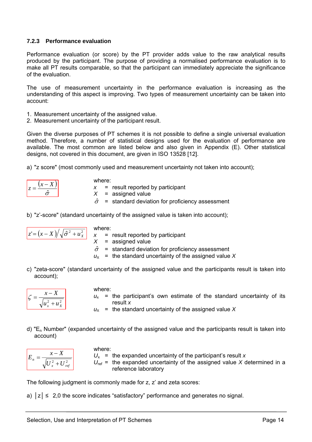## **7.2.3 Performance evaluation**

Performance evaluation (or score) by the PT provider adds value to the raw analytical results produced by the participant. The purpose of providing a normalised performance evaluation is to make all PT results comparable, so that the participant can immediately appreciate the significance of the evaluation.

The use of measurement uncertainty in the performance evaluation is increasing as the understanding of this aspect is improving. Two types of measurement uncertainty can be taken into account:

- 1. Measurement uncertainty of the assigned value.
- 2. Measurement uncertainty of the participant result.

Given the diverse purposes of PT schemes it is not possible to define a single universal evaluation method. Therefore, a number of statistical designs used for the evaluation of performance are available. The most common are listed below and also given in Appendix (E). Other statistical designs, not covered in this document, are given in ISO 13528 [12].

a) "z score" (most commonly used and measurement uncertainty not taken into account);

where:  $x =$  result reported by participant *X* = assigned value  $\hat{\sigma}$  = standard deviation for proficiency assessment

b) "z'-score" (standard uncertainty of the assigned value is taken into account);

where:  
\n
$$
z = (x - X) / \sqrt{\hat{\sigma}^2 + u_x^2}
$$
\n
$$
x = \text{result reported by participant}
$$
\n
$$
x = \text{assigned value}
$$
\n
$$
\hat{\sigma} = \text{standard deviation for proficiency assessment}
$$
\n
$$
u_x = \text{the standard uncertainty of the assigned value } X
$$

c) "zeta-score" (standard uncertainty of the assigned value and the participants result is taken into account);

$$
\zeta = \frac{x - X}{\sqrt{u_x^2 + u_x^2}}
$$

where:

 $u_x$  = the participant's own estimate of the standard uncertainty of its result *x*

 $u_x$  = the standard uncertainty of the assigned value X

d) "En Number" (expanded uncertainty of the assigned value and the participants result is taken into account)

| rej |  |
|-----|--|

where:  $U_x$  = the expanded uncertainty of the participant's result *x*  $U_{ref}$  = the expanded uncertainty of the assigned value *X* determined in a reference laboratory

The following judgment is commonly made for z, z' and zeta scores:

a)  $|z| \leq 2.0$  the score indicates "satisfactory" performance and generates no signal.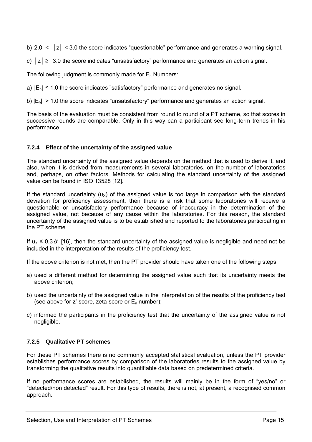b) 2.0 < │z│ < 3.0 the score indicates "questionable" performance and generates a warning signal.

c)  $|z| \geq 3.0$  the score indicates "unsatisfactory" performance and generates an action signal.

The following judgment is commonly made for  $E_n$  Numbers:

- a)  $|E_n| \le 1.0$  the score indicates "satisfactory" performance and generates no signal.
- b)  $|E_n| > 1.0$  the score indicates "unsatisfactory" performance and generates an action signal.

The basis of the evaluation must be consistent from round to round of a PT scheme, so that scores in successive rounds are comparable. Only in this way can a participant see long-term trends in his performance.

## **7.2.4 Effect of the uncertainty of the assigned value**

The standard uncertainty of the assigned value depends on the method that is used to derive it, and also, when it is derived from measurements in several laboratories, on the number of laboratories and, perhaps, on other factors. Methods for calculating the standard uncertainty of the assigned value can be found in ISO 13528 [12].

If the standard uncertainty ( $u_x$ ) of the assigned value is too large in comparison with the standard deviation for proficiency assessment, then there is a risk that some laboratories will receive a questionable or unsatisfactory performance because of inaccuracy in the determination of the assigned value, not because of any cause within the laboratories. For this reason, the standard uncertainty of the assigned value is to be established and reported to the laboratories participating in the PT scheme

If  $u_{x} \le 0.3 \hat{\sigma}$  [16], then the standard uncertainty of the assigned value is negligible and need not be included in the interpretation of the results of the proficiency test.

If the above criterion is not met, then the PT provider should have taken one of the following steps:

- a) used a different method for determining the assigned value such that its uncertainty meets the above criterion;
- b) used the uncertainty of the assigned value in the interpretation of the results of the proficiency test (see above for  $z^r$ -score, zeta-score or  $E_n$  number);
- c) informed the participants in the proficiency test that the uncertainty of the assigned value is not negligible.

## **7.2.5 Qualitative PT schemes**

For these PT schemes there is no commonly accepted statistical evaluation, unless the PT provider establishes performance scores by comparison of the laboratories results to the assigned value by transforming the qualitative results into quantifiable data based on predetermined criteria.

If no performance scores are established, the results will mainly be in the form of "yes/no" or "detected/non detected" result. For this type of results, there is not, at present, a recognised common approach.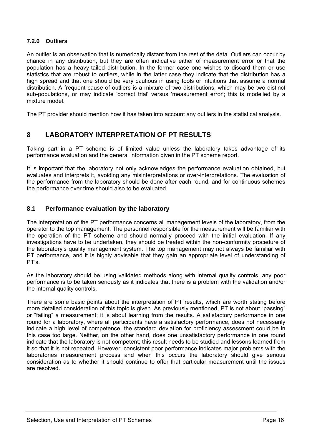## **7.2.6 Outliers**

An outlier is an observation that is numerically distant from the rest of the data. Outliers can occur by chance in any distribution, but they are often indicative either of measurement error or that the population has a heavy-tailed distribution. In the former case one wishes to discard them or use statistics that are robust to outliers, while in the latter case they indicate that the distribution has a high spread and that one should be very cautious in using tools or intuitions that assume a normal distribution. A frequent cause of outliers is a mixture of two distributions, which may be two distinct sub-populations, or may indicate 'correct trial' versus 'measurement error'; this is modelled by a mixture model.

The PT provider should mention how it has taken into account any outliers in the statistical analysis.

## **8 LABORATORY INTERPRETATION OF PT RESULTS**

Taking part in a PT scheme is of limited value unless the laboratory takes advantage of its performance evaluation and the general information given in the PT scheme report.

It is important that the laboratory not only acknowledges the performance evaluation obtained, but evaluates and interprets it, avoiding any misinterpretations or over-interpretations. The evaluation of the performance from the laboratory should be done after each round, and for continuous schemes the performance over time should also to be evaluated.

## **8.1 Performance evaluation by the laboratory**

The interpretation of the PT performance concerns all management levels of the laboratory, from the operator to the top management. The personnel responsible for the measurement will be familiar with the operation of the PT scheme and should normally proceed with the initial evaluation. If any investigations have to be undertaken, they should be treated within the non-conformity procedure of the laboratory's quality management system. The top management may not always be familiar with PT performance, and it is highly advisable that they gain an appropriate level of understanding of PT's.

As the laboratory should be using validated methods along with internal quality controls, any poor performance is to be taken seriously as it indicates that there is a problem with the validation and/or the internal quality controls.

There are some basic points about the interpretation of PT results, which are worth stating before more detailed consideration of this topic is given. As previously mentioned, PT is not about "passing" or "failing" a measurement; it is about learning from the results. A satisfactory performance in one round for a laboratory, where all participants have a satisfactory performance, does not necessarily indicate a high level of competence, the standard deviation for proficiency assessment could be in this case too large. Neither, on the other hand, does one unsatisfactory performance in one round indicate that the laboratory is not competent; this result needs to be studied and lessons learned from it so that it is not repeated. However, consistent poor performance indicates major problems with the laboratories measurement process and when this occurs the laboratory should give serious consideration as to whether it should continue to offer that particular measurement until the issues are resolved.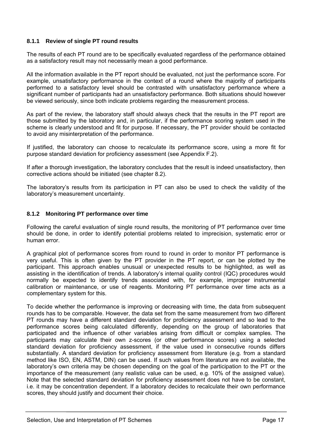## **8.1.1 Review of single PT round results**

The results of each PT round are to be specifically evaluated regardless of the performance obtained as a satisfactory result may not necessarily mean a good performance.

All the information available in the PT report should be evaluated, not just the performance score. For example, unsatisfactory performance in the context of a round where the majority of participants performed to a satisfactory level should be contrasted with unsatisfactory performance where a significant number of participants had an unsatisfactory performance. Both situations should however be viewed seriously, since both indicate problems regarding the measurement process.

As part of the review, the laboratory staff should always check that the results in the PT report are those submitted by the laboratory and, in particular, if the performance scoring system used in the scheme is clearly understood and fit for purpose. If necessary, the PT provider should be contacted to avoid any misinterpretation of the performance.

If justified, the laboratory can choose to recalculate its performance score, using a more fit for purpose standard deviation for proficiency assessment (see Appendix F.2).

If after a thorough investigation, the laboratory concludes that the result is indeed unsatisfactory, then corrective actions should be initiated (see chapter 8.2).

The laboratory's results from its participation in PT can also be used to check the validity of the laboratory's measurement uncertainty.

## **8.1.2 Monitoring PT performance over time**

Following the careful evaluation of single round results, the monitoring of PT performance over time should be done, in order to identify potential problems related to imprecision, systematic error or human error.

A graphical plot of performance scores from round to round in order to monitor PT performance is very useful. This is often given by the PT provider in the PT report, or can be plotted by the participant. This approach enables unusual or unexpected results to be highlighted, as well as assisting in the identification of trends. A laboratory's internal quality control (IQC) procedures would normally be expected to identify trends associated with, for example, improper instrumental calibration or maintenance, or use of reagents. Monitoring PT performance over time acts as a complementary system for this.

To decide whether the performance is improving or decreasing with time, the data from subsequent rounds has to be comparable. However, the data set from the same measurement from two different PT rounds may have a different standard deviation for proficiency assessment and so lead to the performance scores being calculated differently, depending on the group of laboratories that participated and the influence of other variables arising from difficult or complex samples. The participants may calculate their own z-scores (or other performance scores) using a selected standard deviation for proficiency assessment, if the value used in consecutive rounds differs substantially. A standard deviation for proficiency assessment from literature (e.g. from a standard method like ISO, EN, ASTM, DIN) can be used. If such values from literature are not available, the laboratory's own criteria may be chosen depending on the goal of the participation to the PT or the importance of the measurement (any realistic value can be used, e.g. 10% of the assigned value). Note that the selected standard deviation for proficiency assessment does not have to be constant, i.e. it may be concentration dependent. If a laboratory decides to recalculate their own performance scores, they should justify and document their choice.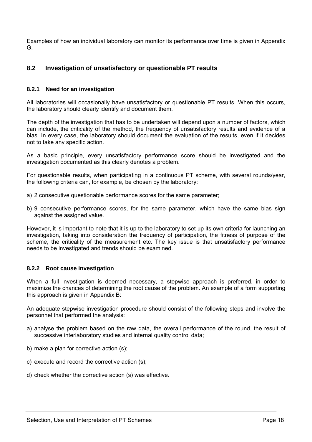Examples of how an individual laboratory can monitor its performance over time is given in Appendix G.

## **8.2 Investigation of unsatisfactory or questionable PT results**

## **8.2.1 Need for an investigation**

All laboratories will occasionally have unsatisfactory or questionable PT results. When this occurs, the laboratory should clearly identify and document them.

The depth of the investigation that has to be undertaken will depend upon a number of factors, which can include, the criticality of the method, the frequency of unsatisfactory results and evidence of a bias. In every case, the laboratory should document the evaluation of the results, even if it decides not to take any specific action.

As a basic principle, every unsatisfactory performance score should be investigated and the investigation documented as this clearly denotes a problem.

For questionable results, when participating in a continuous PT scheme, with several rounds/year, the following criteria can, for example, be chosen by the laboratory:

- a) 2 consecutive questionable performance scores for the same parameter;
- b) 9 consecutive performance scores, for the same parameter, which have the same bias sign against the assigned value.

However, it is important to note that it is up to the laboratory to set up its own criteria for launching an investigation, taking into consideration the frequency of participation, the fitness of purpose of the scheme, the criticality of the measurement etc. The key issue is that unsatisfactory performance needs to be investigated and trends should be examined.

## **8.2.2 Root cause investigation**

When a full investigation is deemed necessary, a stepwise approach is preferred, in order to maximize the chances of determining the root cause of the problem. An example of a form supporting this approach is given in Appendix B:

An adequate stepwise investigation procedure should consist of the following steps and involve the personnel that performed the analysis:

- a) analyse the problem based on the raw data, the overall performance of the round, the result of successive interlaboratory studies and internal quality control data;
- b) make a plan for corrective action (s);
- c) execute and record the corrective action (s);
- d) check whether the corrective action (s) was effective.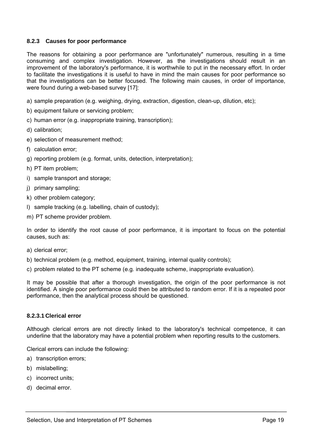## **8.2.3 Causes for poor performance**

The reasons for obtaining a poor performance are "unfortunately" numerous, resulting in a time consuming and complex investigation. However, as the investigations should result in an improvement of the laboratory's performance, it is worthwhile to put in the necessary effort. In order to facilitate the investigations it is useful to have in mind the main causes for poor performance so that the investigations can be better focused. The following main causes, in order of importance, were found during a web-based survey [17]:

- a) sample preparation (e.g. weighing, drying, extraction, digestion, clean-up, dilution, etc);
- b) equipment failure or servicing problem;
- c) human error (e.g. inappropriate training, transcription);
- d) calibration;
- e) selection of measurement method;
- f) calculation error;
- g) reporting problem (e.g. format, units, detection, interpretation);
- h) PT item problem;
- i) sample transport and storage;
- j) primary sampling;
- k) other problem category;
- l) sample tracking (e.g. labelling, chain of custody);
- m) PT scheme provider problem.

In order to identify the root cause of poor performance, it is important to focus on the potential causes, such as:

- a) clerical error;
- b) technical problem (e.g. method, equipment, training, internal quality controls);
- c) problem related to the PT scheme (e.g. inadequate scheme, inappropriate evaluation).

It may be possible that after a thorough investigation, the origin of the poor performance is not identified. A single poor performance could then be attributed to random error. If it is a repeated poor performance, then the analytical process should be questioned.

## **8.2.3.1 Clerical error**

Although clerical errors are not directly linked to the laboratory's technical competence, it can underline that the laboratory may have a potential problem when reporting results to the customers.

Clerical errors can include the following:

- a) transcription errors;
- b) mislabelling;
- c) incorrect units;
- d) decimal error.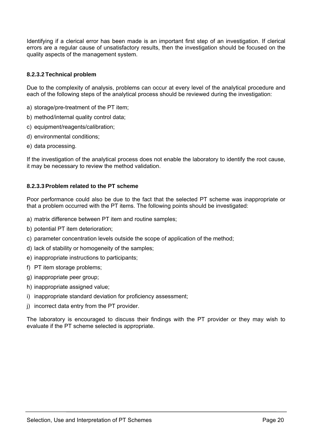Identifying if a clerical error has been made is an important first step of an investigation. If clerical errors are a regular cause of unsatisfactory results, then the investigation should be focused on the quality aspects of the management system.

## **8.2.3.2 Technical problem**

Due to the complexity of analysis, problems can occur at every level of the analytical procedure and each of the following steps of the analytical process should be reviewed during the investigation:

- a) storage/pre-treatment of the PT item;
- b) method/internal quality control data;
- c) equipment/reagents/calibration;
- d) environmental conditions;
- e) data processing.

If the investigation of the analytical process does not enable the laboratory to identify the root cause, it may be necessary to review the method validation.

## **8.2.3.3 Problem related to the PT scheme**

Poor performance could also be due to the fact that the selected PT scheme was inappropriate or that a problem occurred with the PT items. The following points should be investigated:

- a) matrix difference between PT item and routine samples;
- b) potential PT item deterioration;
- c) parameter concentration levels outside the scope of application of the method;
- d) lack of stability or homogeneity of the samples;
- e) inappropriate instructions to participants;
- f) PT item storage problems;
- g) inappropriate peer group;
- h) inappropriate assigned value;
- i) inappropriate standard deviation for proficiency assessment;
- j) incorrect data entry from the PT provider.

The laboratory is encouraged to discuss their findings with the PT provider or they may wish to evaluate if the PT scheme selected is appropriate.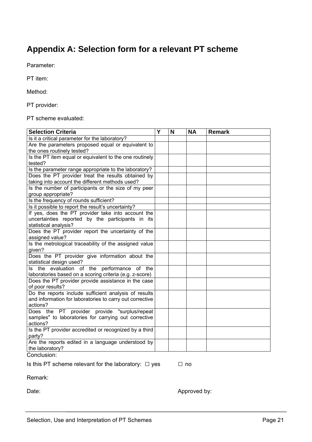# **Appendix A: Selection form for a relevant PT scheme**

Parameter:

PT item:

Method:

PT provider:

PT scheme evaluated:

| <b>Selection Criteria</b>                                        | Y | N | <b>NA</b> | <b>Remark</b> |
|------------------------------------------------------------------|---|---|-----------|---------------|
| Is it a critical parameter for the laboratory?                   |   |   |           |               |
| Are the parameters proposed equal or equivalent to               |   |   |           |               |
| the ones routinely tested?                                       |   |   |           |               |
| Is the PT item equal or equivalent to the one routinely          |   |   |           |               |
| tested?                                                          |   |   |           |               |
| Is the parameter range appropriate to the laboratory?            |   |   |           |               |
| Does the PT provider treat the results obtained by               |   |   |           |               |
| taking into account the different methods used?                  |   |   |           |               |
| Is the number of participants or the size of my peer             |   |   |           |               |
| group appropriate?                                               |   |   |           |               |
| Is the frequency of rounds sufficient?                           |   |   |           |               |
| Is it possible to report the result's uncertainty?               |   |   |           |               |
| If yes, does the PT provider take into account the               |   |   |           |               |
| uncertainties reported by the participants in its                |   |   |           |               |
| statistical analysis?                                            |   |   |           |               |
| Does the PT provider report the uncertainty of the               |   |   |           |               |
| assigned value?                                                  |   |   |           |               |
| Is the metrological traceability of the assigned value           |   |   |           |               |
| given?                                                           |   |   |           |               |
| Does the PT provider give information about the                  |   |   |           |               |
| statistical design used?                                         |   |   |           |               |
| Is the evaluation of the performance of the                      |   |   |           |               |
| laboratories based on a scoring criteria (e.g. z-score)          |   |   |           |               |
| Does the PT provider provide assistance in the case              |   |   |           |               |
| of poor results?                                                 |   |   |           |               |
| Do the reports include sufficient analysis of results            |   |   |           |               |
| and information for laboratories to carry out corrective         |   |   |           |               |
| actions?                                                         |   |   |           |               |
| Does the PT provider provide "surplus/repeat                     |   |   |           |               |
| samples" to laboratories for carrying out corrective             |   |   |           |               |
| actions?                                                         |   |   |           |               |
| Is the PT provider accredited or recognized by a third<br>party? |   |   |           |               |
| Are the reports edited in a language understood by               |   |   |           |               |
| the laboratory?                                                  |   |   |           |               |

Conclusion:

Is this PT scheme relevant for the laboratory:  $\Box$  yes  $\Box$  no

Remark:

Date: Approved by: Approved by: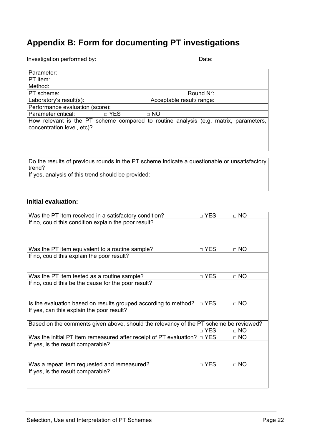# **Appendix B: Form for documenting PT investigations**

Investigation performed by: Date: Date: Date: Date: Date: Date: Date: Date: Date: Date: Date: Date: Date: Date: Date: Date: Date: Date: Date: Date: Date: Date: Date: Date: Date: Date: Date: Date: Date: Date: Date: Date: Da

| ۰.<br>×<br>۰. |  |
|---------------|--|

| Parameter:                                         |                                                                                              |  |
|----------------------------------------------------|----------------------------------------------------------------------------------------------|--|
| PT item:                                           |                                                                                              |  |
| Method:                                            |                                                                                              |  |
| PT scheme:                                         | Round $N^{\circ}$ :                                                                          |  |
| Laboratory's result(s):                            | Acceptable result/ range:                                                                    |  |
| Performance evaluation (score):                    |                                                                                              |  |
| Parameter critical:                                | □ YES<br>$\Box$ NO                                                                           |  |
| concentration level, etc)?                         | How relevant is the PT scheme compared to routine analysis (e.g. matrix, parameters,         |  |
|                                                    |                                                                                              |  |
| trend?                                             | Do the results of previous rounds in the PT scheme indicate a questionable or unsatisfactory |  |
| If yes, analysis of this trend should be provided: |                                                                                              |  |

## **Initial evaluation:**

| Was the PT item received in a satisfactory condition?                                 | □ YES      | $\Box$ NO   |
|---------------------------------------------------------------------------------------|------------|-------------|
| If no, could this condition explain the poor result?                                  |            |             |
|                                                                                       |            |             |
|                                                                                       |            |             |
|                                                                                       |            |             |
| Was the PT item equivalent to a routine sample?                                       | □ YES      | $\Box$ NO   |
| If no, could this explain the poor result?                                            |            |             |
|                                                                                       |            |             |
|                                                                                       | □ YES      | $\Box$ NO   |
| Was the PT item tested as a routine sample?                                           |            |             |
| If no, could this be the cause for the poor result?                                   |            |             |
|                                                                                       |            |             |
| Is the evaluation based on results grouped according to method?                       | □ YES      | $\Box$ NO   |
| If yes, can this explain the poor result?                                             |            |             |
|                                                                                       |            |             |
| Based on the comments given above, should the relevancy of the PT scheme be reviewed? |            |             |
|                                                                                       | $\Box$ YES | $\sqcap$ NO |
| Was the initial PT item remeasured after receipt of PT evaluation? $\Box$ YES         |            | $\Box$ NO   |
| If yes, is the result comparable?                                                     |            |             |
|                                                                                       |            |             |
|                                                                                       |            |             |
| Was a repeat item requested and remeasured?                                           | $\Box$ YES | $\Box$ NO   |
| If yes, is the result comparable?                                                     |            |             |
|                                                                                       |            |             |
|                                                                                       |            |             |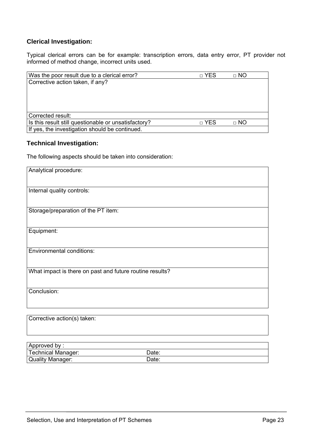## **Clerical Investigation:**

Typical clerical errors can be for example: transcription errors, data entry error, PT provider not informed of method change, incorrect units used.

| Was the poor result due to a clerical error?         | □ YES | $\Box$ NO |
|------------------------------------------------------|-------|-----------|
| Corrective action taken, if any?                     |       |           |
|                                                      |       |           |
|                                                      |       |           |
|                                                      |       |           |
|                                                      |       |           |
| Corrected result:                                    |       |           |
| Is this result still questionable or unsatisfactory? | □ YES | $\Box$ NO |
| If yes, the investigation should be continued.       |       |           |

## **Technical Investigation:**

The following aspects should be taken into consideration:

| Analytical procedure:                                    |
|----------------------------------------------------------|
| Internal quality controls:                               |
| Storage/preparation of the PT item:                      |
| Equipment:                                               |
| <b>Environmental conditions:</b>                         |
|                                                          |
| What impact is there on past and future routine results? |
| Conclusion:                                              |
| Corrective action(s) taken:                              |

| Approved by:       |       |  |
|--------------------|-------|--|
| Technical Manager: | Date: |  |
| Quality Manager:   | Date: |  |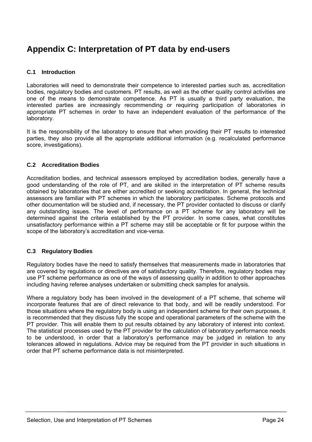# **Appendix C: Interpretation of PT data by end-users**

## **C.1 Introduction**

Laboratories will need to demonstrate their competence to interested parties such as, accreditation bodies, regulatory bodies and customers. PT results, as well as the other quality control activities are one of the means to demonstrate competence. As PT is usually a third party evaluation, the interested parties are increasingly recommending or requiring participation of laboratories in appropriate PT schemes in order to have an independent evaluation of the performance of the laboratory.

It is the responsibility of the laboratory to ensure that when providing their PT results to interested parties, they also provide all the appropriate additional information (e.g. recalculated performance score, investigations).

## **C.2 Accreditation Bodies**

Accreditation bodies, and technical assessors employed by accreditation bodies, generally have a good understanding of the role of PT, and are skilled in the interpretation of PT scheme results obtained by laboratories that are either accredited or seeking accreditation. In general, the technical assessors are familiar with PT schemes in which the laboratory participates. Scheme protocols and other documentation will be studied and, if necessary, the PT provider contacted to discuss or clarify any outstanding issues. The level of performance on a PT scheme for any laboratory will be determined against the criteria established by the PT provider. In some cases, what constitutes unsatisfactory performance within a PT scheme may still be acceptable or fit for purpose within the scope of the laboratory's accreditation and vice-versa.

## **C.3 Regulatory Bodies**

Regulatory bodies have the need to satisfy themselves that measurements made in laboratories that are covered by regulations or directives are of satisfactory quality. Therefore, regulatory bodies may use PT scheme performance as one of the ways of assessing quality in addition to other approaches including having referee analyses undertaken or submitting check samples for analysis.

Where a regulatory body has been involved in the development of a PT scheme, that scheme will incorporate features that are of direct relevance to that body, and will be readily understood. For those situations where the regulatory body is using an independent scheme for their own purposes, it is recommended that they discuss fully the scope and operational parameters of the scheme with the PT provider. This will enable them to put results obtained by any laboratory of interest into context. The statistical processes used by the PT provider for the calculation of laboratory performance needs to be understood, in order that a laboratory's performance may be judged in relation to any tolerances allowed in regulations. Advice may be required from the PT provider in such situations in order that PT scheme performance data is not misinterpreted.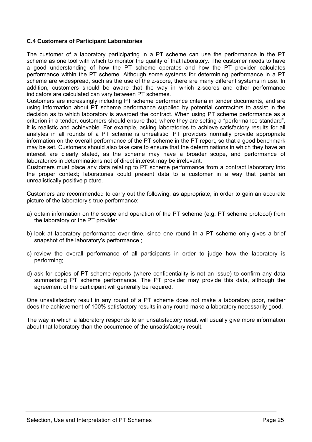## **C.4 Customers of Participant Laboratories**

The customer of a laboratory participating in a PT scheme can use the performance in the PT scheme as one tool with which to monitor the quality of that laboratory. The customer needs to have a good understanding of how the PT scheme operates and how the PT provider calculates performance within the PT scheme. Although some systems for determining performance in a PT scheme are widespread, such as the use of the z-score, there are many different systems in use. In addition, customers should be aware that the way in which z-scores and other performance indicators are calculated can vary between PT schemes.

Customers are increasingly including PT scheme performance criteria in tender documents, and are using information about PT scheme performance supplied by potential contractors to assist in the decision as to which laboratory is awarded the contract. When using PT scheme performance as a criterion in a tender, customers should ensure that, where they are setting a "performance standard", it is realistic and achievable. For example, asking laboratories to achieve satisfactory results for all analytes in all rounds of a PT scheme is unrealistic. PT providers normally provide appropriate information on the overall performance of the PT scheme in the PT report, so that a good benchmark may be set. Customers should also take care to ensure that the determinations in which they have an interest are clearly stated, as the scheme may have a broader scope, and performance of laboratories in determinations not of direct interest may be irrelevant.

Customers must place any data relating to PT scheme performance from a contract laboratory into the proper context; laboratories could present data to a customer in a way that paints an unrealistically positive picture.

Customers are recommended to carry out the following, as appropriate, in order to gain an accurate picture of the laboratory's true performance:

- a) obtain information on the scope and operation of the PT scheme (e.g. PT scheme protocol) from the laboratory or the PT provider;
- b) look at laboratory performance over time, since one round in a PT scheme only gives a brief snapshot of the laboratory's performance.;
- c) review the overall performance of all participants in order to judge how the laboratory is performing;
- d) ask for copies of PT scheme reports (where confidentiality is not an issue) to confirm any data summarising PT scheme performance. The PT provider may provide this data, although the agreement of the participant will generally be required.

One unsatisfactory result in any round of a PT scheme does not make a laboratory poor, neither does the achievement of 100% satisfactory results in any round make a laboratory necessarily good.

The way in which a laboratory responds to an unsatisfactory result will usually give more information about that laboratory than the occurrence of the unsatisfactory result.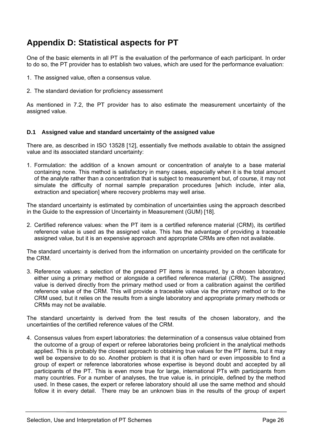# **Appendix D: Statistical aspects for PT**

One of the basic elements in all PT is the evaluation of the performance of each participant. In order to do so, the PT provider has to establish two values, which are used for the performance evaluation:

- 1. The assigned value, often a consensus value.
- 2. The standard deviation for proficiency assessment

As mentioned in 7.2, the PT provider has to also estimate the measurement uncertainty of the assigned value.

#### **D.1 Assigned value and standard uncertainty of the assigned value**

There are, as described in ISO 13528 [12], essentially five methods available to obtain the assigned value and its associated standard uncertainty:

1. Formulation: the addition of a known amount or concentration of analyte to a base material containing none. This method is satisfactory in many cases, especially when it is the total amount of the analyte rather than a concentration that is subject to measurement but, of course, it may not simulate the difficulty of normal sample preparation procedures [which include, inter alia, extraction and speciation] where recovery problems may well arise.

The standard uncertainty is estimated by combination of uncertainties using the approach described in the Guide to the expression of Uncertainty in Measurement (GUM) [18].

2. Certified reference values: when the PT item is a certified reference material (CRM), its certified reference value is used as the assigned value. This has the advantage of providing a traceable assigned value, but it is an expensive approach and appropriate CRMs are often not available.

The standard uncertainty is derived from the information on uncertainty provided on the certificate for the CRM.

3. Reference values: a selection of the prepared PT items is measured, by a chosen laboratory, either using a primary method or alongside a certified reference material (CRM). The assigned value is derived directly from the primary method used or from a calibration against the certified reference value of the CRM. This will provide a traceable value via the primary method or to the CRM used, but it relies on the results from a single laboratory and appropriate primary methods or CRMs may not be available.

The standard uncertainty is derived from the test results of the chosen laboratory, and the uncertainties of the certified reference values of the CRM.

4. Consensus values from expert laboratories: the determination of a consensus value obtained from the outcome of a group of expert or referee laboratories being proficient in the analytical methods applied. This is probably the closest approach to obtaining true values for the PT items, but it may well be expensive to do so. Another problem is that it is often hard or even impossible to find a group of expert or reference laboratories whose expertise is beyond doubt and accepted by all participants of the PT. This is even more true for large, international PTs with participants from many countries. For a number of analyses, the true value is, in principle, defined by the method used. In these cases, the expert or referee laboratory should all use the same method and should follow it in every detail. There may be an unknown bias in the results of the group of expert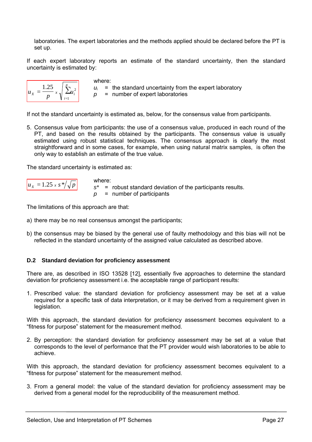laboratories. The expert laboratories and the methods applied should be declared before the PT is set up.

If each expert laboratory reports an estimate of the standard uncertainty, then the standard uncertainty is estimated by:

| . vo | х        |  |
|------|----------|--|
|      | ٠<br>= I |  |

where:  $u_i$  = the standard uncertainty from the expert laboratory *p* = number of expert laboratories

If not the standard uncertainty is estimated as, below, for the consensus value from participants.

5. Consensus value from participants: the use of a consensus value, produced in each round of the PT, and based on the results obtained by the participants. The consensus value is usually estimated using robust statistical techniques. The consensus approach is clearly the most straightforward and in some cases, for example, when using natural matrix samples, is often the only way to establish an estimate of the true value.

The standard uncertainty is estimated as:

$$
u_x = 1.25 \times s \sqrt[*]{\sqrt{p}}
$$

where: *s\** = robust standard deviation of the participants results. *p* = number of participants

The limitations of this approach are that:

- a) there may be no real consensus amongst the participants;
- b) the consensus may be biased by the general use of faulty methodology and this bias will not be reflected in the standard uncertainty of the assigned value calculated as described above.

## **D.2 Standard deviation for proficiency assessment**

There are, as described in ISO 13528 [12], essentially five approaches to determine the standard deviation for proficiency assessment i.e. the acceptable range of participant results:

1. Prescribed value: the standard deviation for proficiency assessment may be set at a value required for a specific task of data interpretation, or it may be derived from a requirement given in legislation.

With this approach, the standard deviation for proficiency assessment becomes equivalent to a "fitness for purpose" statement for the measurement method.

2. By perception: the standard deviation for proficiency assessment may be set at a value that corresponds to the level of performance that the PT provider would wish laboratories to be able to achieve.

With this approach, the standard deviation for proficiency assessment becomes equivalent to a "fitness for purpose" statement for the measurement method.

3. From a general model: the value of the standard deviation for proficiency assessment may be derived from a general model for the reproducibility of the measurement method.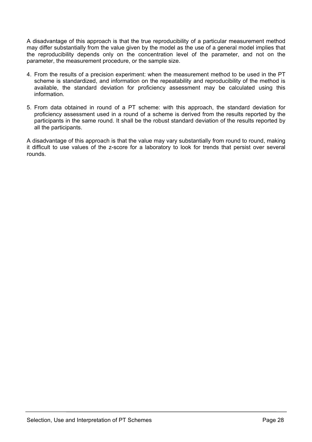A disadvantage of this approach is that the true reproducibility of a particular measurement method may differ substantially from the value given by the model as the use of a general model implies that the reproducibility depends only on the concentration level of the parameter, and not on the parameter, the measurement procedure, or the sample size.

- 4. From the results of a precision experiment: when the measurement method to be used in the PT scheme is standardized, and information on the repeatability and reproducibility of the method is available, the standard deviation for proficiency assessment may be calculated using this information.
- 5. From data obtained in round of a PT scheme: with this approach, the standard deviation for proficiency assessment used in a round of a scheme is derived from the results reported by the participants in the same round. It shall be the robust standard deviation of the results reported by all the participants.

A disadvantage of this approach is that the value may vary substantially from round to round, making it difficult to use values of the z-score for a laboratory to look for trends that persist over several rounds.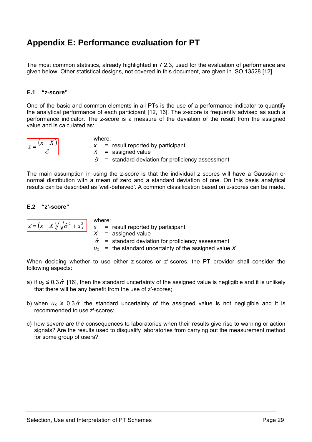# **Appendix E: Performance evaluation for PT**

The most common statistics, already highlighted in 7.2.3, used for the evaluation of performance are given below. Other statistical designs, not covered in this document, are given in ISO 13528 [12].

## **E.1 "z-score"**

One of the basic and common elements in all PTs is the use of a performance indicator to quantify the analytical performance of each participant [12, 16]. The z-score is frequently advised as such a performance indicator. The z-score is a measure of the deviation of the result from the assigned value and is calculated as:

$$
z = \frac{(x - X)}{\hat{\sigma}}
$$

where: *x* = result reported by participant *X* = assigned value  $\hat{\sigma}$  = standard deviation for proficiency assessment

The main assumption in using the z-score is that the individual z scores will have a Gaussian or normal distribution with a mean of zero and a standard deviation of one. On this basis analytical results can be described as 'well-behaved'. A common classification based on z-scores can be made.

#### **E.2 "z'-score"**

where:  
\n
$$
\frac{z = (x - X) / \sqrt{\hat{\sigma}^2 + u_x^2}}{X} = \text{result reported by}
$$
\n
$$
X = \text{assigned value}
$$
\n
$$
\hat{\sigma} = \text{standard deviation}
$$

standard deviation for proficiency assessment

 $u_x$  = the standard uncertainty of the assigned value X

participant

When deciding whether to use either z-scores or z'-scores, the PT provider shall consider the following aspects:

- a) if  $u_x \le 0.3 \hat{\sigma}$  [16], then the standard uncertainty of the assigned value is negligible and it is unlikely that there will be any benefit from the use of z′-scores;
- b) when  $u_x \geq 0.3 \hat{\sigma}$  the standard uncertainty of the assigned value is not negligible and it is recommended to use z′-scores;
- c) how severe are the consequences to laboratories when their results give rise to warning or action signals? Are the results used to disqualify laboratories from carrying out the measurement method for some group of users?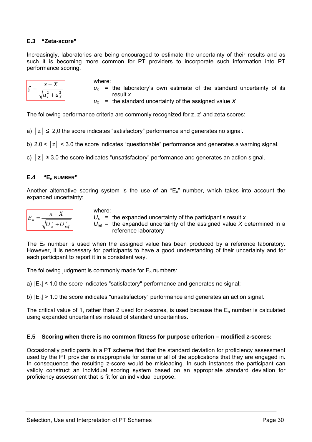## **E.3 "Zeta-score"**

Increasingly, laboratories are being encouraged to estimate the uncertainty of their results and as such it is becoming more common for PT providers to incorporate such information into PT performance scoring.

| $+u_{y}$<br>и |
|---------------|

where:  $u_x$  = the laboratory's own estimate of the standard uncertainty of its result *x*

 $u_x$  = the standard uncertainty of the assigned value X

The following performance criteria are commonly recognized for z, z' and zeta scores:

a)  $|z| \leq 2.0$  the score indicates "satisfactory" performance and generates no signal.

b)  $2.0 < |z| < 3.0$  the score indicates "guestionable" performance and generates a warning signal.

c)  $|z| \geq 3.0$  the score indicates "unsatisfactory" performance and generates an action signal.

#### **E.4 "En NUMBER"**

Another alternative scoring system is the use of an " $E_n$ " number, which takes into account the expanded uncertainty:

$$
E_n = \frac{x - X}{\sqrt{U_x^2 + U_{ref}^2}}
$$

where:

 $U_x$  = the expanded uncertainty of the participant's result *x*  $U_{ref}$  = the expanded uncertainty of the assigned value *X* determined in a reference laboratory

The  $E_n$  number is used when the assigned value has been produced by a reference laboratory. However, it is necessary for participants to have a good understanding of their uncertainty and for each participant to report it in a consistent way.

The following judgment is commonly made for  $E_n$  numbers:

a)  $|E_n| \le 1.0$  the score indicates "satisfactory" performance and generates no signal;

b)  $|E_n| > 1.0$  the score indicates "unsatisfactory" performance and generates an action signal.

The critical value of 1, rather than 2 used for z-scores, is used because the  $E_n$  number is calculated using expanded uncertainties instead of standard uncertainties.

## **E.5 Scoring when there is no common fitness for purpose criterion – modified z-scores:**

Occasionally participants in a PT scheme find that the standard deviation for proficiency assessment used by the PT provider is inappropriate for some or all of the applications that they are engaged in. In consequence the resulting z-score would be misleading. In such instances the participant can validly construct an individual scoring system based on an appropriate standard deviation for proficiency assessment that is fit for an individual purpose.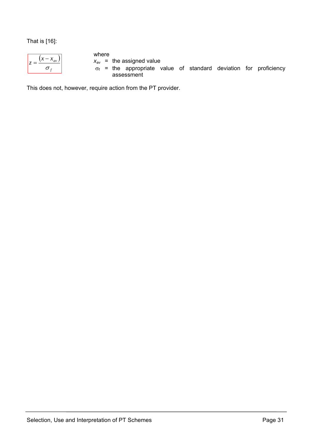That is [16]:

| av |  |
|----|--|
|    |  |

where

 $x_{av}$  = the assigned value

 $\sigma_f$  = the appropriate value of standard deviation for proficiency assessment

This does not, however, require action from the PT provider.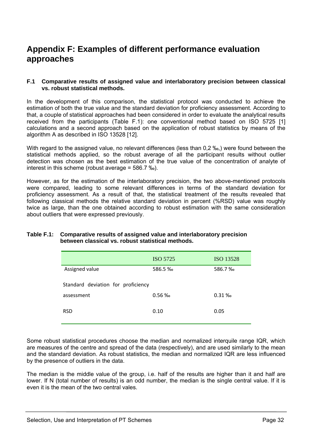# **Appendix F: Examples of different performance evaluation approaches**

#### **F.1 Comparative results of assigned value and interlaboratory precision between classical vs. robust statistical methods.**

In the development of this comparison, the statistical protocol was conducted to achieve the estimation of both the true value and the standard deviation for proficiency assessment. According to that, a couple of statistical approaches had been considered in order to evaluate the analytical results received from the participants (Table F.1): one conventional method based on ISO 5725 [1] calculations and a second approach based on the application of robust statistics by means of the algorithm A as described in ISO 13528 [12].

With regard to the assigned value, no relevant differences (less than 0,2 ‰,) were found between the statistical methods applied, so the robust average of all the participant results without outlier detection was chosen as the best estimation of the true value of the concentration of analyte of interest in this scheme (robust average = 586.7 ‰).

However, as for the estimation of the interlaboratory precision, the two above-mentioned protocols were compared, leading to some relevant differences in terms of the standard deviation for proficiency assessment. As a result of that, the statistical treatment of the results revealed that following classical methods the relative standard deviation in percent (%RSD) value was roughly twice as large, than the one obtained according to robust estimation with the same consideration about outliers that were expressed previously.

## **Table F.1: Comparative results of assigned value and interlaboratory precision between classical vs. robust statistical methods.**

|                                    | ISO 5725 | <b>ISO 13528</b> |
|------------------------------------|----------|------------------|
| Assigned value                     | 586.5 ‰  | 586.7%           |
| Standard deviation for proficiency |          |                  |
| assessment                         | $0.56\%$ | $0.31\%$         |
| <b>RSD</b>                         | 0.10     | 0.05             |

Some robust statistical procedures choose the median and normalized interquile range IQR, which are measures of the centre and spread of the data (respectively), and are used similarly to the mean and the standard deviation. As robust statistics, the median and normalized IQR are less influenced by the presence of outliers in the data.

The median is the middle value of the group, i.e. half of the results are higher than it and half are lower. If N (total number of results) is an odd number, the median is the single central value. If it is even it is the mean of the two central vales.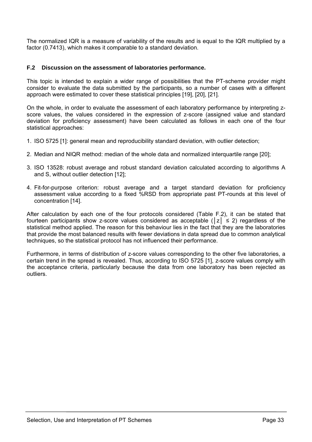The normalized IQR is a measure of variability of the results and is equal to the IQR multiplied by a factor (0.7413), which makes it comparable to a standard deviation.

## **F.2 Discussion on the assessment of laboratories performance.**

This topic is intended to explain a wider range of possibilities that the PT-scheme provider might consider to evaluate the data submitted by the participants, so a number of cases with a different approach were estimated to cover these statistical principles [19], [20], [21].

On the whole, in order to evaluate the assessment of each laboratory performance by interpreting zscore values, the values considered in the expression of z-score (assigned value and standard deviation for proficiency assessment) have been calculated as follows in each one of the four statistical approaches:

- 1. ISO 5725 [1]: general mean and reproducibility standard deviation, with outlier detection;
- 2. Median and NIQR method: median of the whole data and normalized interquartile range [20];
- 3. ISO 13528: robust average and robust standard deviation calculated according to algorithms A and S, without outlier detection [12];
- 4. Fit-for-purpose criterion: robust average and a target standard deviation for proficiency assessment value according to a fixed %RSD from appropriate past PT-rounds at this level of concentration [14].

After calculation by each one of the four protocols considered (Table F.2), it can be stated that fourteen participants show z-score values considered as acceptable ( $|z| \le 2$ ) regardless of the statistical method applied. The reason for this behaviour lies in the fact that they are the laboratories that provide the most balanced results with fewer deviations in data spread due to common analytical techniques, so the statistical protocol has not influenced their performance.

Furthermore, in terms of distribution of z-score values corresponding to the other five laboratories, a certain trend in the spread is revealed. Thus, according to ISO 5725 [1], z-score values comply with the acceptance criteria, particularly because the data from one laboratory has been rejected as outliers.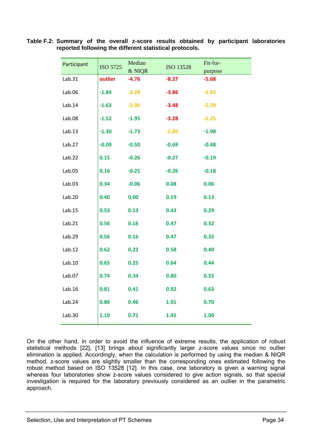| Participant | ISO 5725 | Median<br>& NIQR | ISO 13528 | Fit-for-<br>purpose |
|-------------|----------|------------------|-----------|---------------------|
| Lab.31      | outlier  | $-4.76$          | $-8.27$   | $-5.68$             |
| Lab.06      | $-1.84$  | $-2.28$          | $-3.86$   | $-2.65$             |
| Lab.14      | $-1.63$  | $-2.06$          | $-3.48$   | $-2.39$             |
| Lab.08      | $-1.52$  | $-1.95$          | $-3.28$   | $-2.25$             |
| Lab.13      | $-1.30$  | $-1.73$          | $-2.89$   | $-1.98$             |
| Lab.27      | $-0.09$  | $-0.50$          | $-0.69$   | $-0.48$             |
| Lab.22      | 0.15     | $-0.26$          | $-0.27$   | $-0.19$             |
| Lab.05      | 0.16     | $-0.25$          | $-0.26$   | $-0.18$             |
| Lab.03      | 0.34     | $-0.06$          | 0.08      | 0.06                |
| Lab.20      | 0.40     | 0.00             | 0.19      | 0.13                |
| Lab.15      | 0.53     | 0.13             | 0.43      | 0.29                |
| Lab.21      | 0.56     | 0.16             | 0.47      | 0.32                |
| Lab.29      | 0.56     | 0.16             | 0.47      | 0.32                |
| Lab.12      | 0.62     | 0.22             | 0.58      | 0.40                |
| Lab.10      | 0.65     | 0.25             | 0.64      | 0.44                |
| Lab.07      | 0.74     | 0.34             | 0.80      | 0.55                |
| Lab.16      | 0.81     | 0.41             | 0.92      | 0.63                |
| Lab.24      | 0.86     | 0.46             | 1.01      | 0.70                |
| Lab.30      | 1.10     | 0.71             | 1.45      | 1.00                |
|             |          |                  |           |                     |

**Table F.2: Summary of the overall z-score results obtained by participant laboratories reported following the different statistical protocols.** 

On the other hand, in order to avoid the influence of extreme results, the application of robust statistical methods [22], [13] brings about significantly larger z-score values since no outlier elimination is applied. Accordingly, when the calculation is performed by using the median & NIQR method, z-score values are slightly smaller than the corresponding ones estimated following the robust method based on ISO 13528 [12]. In this case, one laboratory is given a warning signal whereas four laboratories show z-score values considered to give action signals, so that special investigation is required for the laboratory previously considered as an outlier in the parametric approach.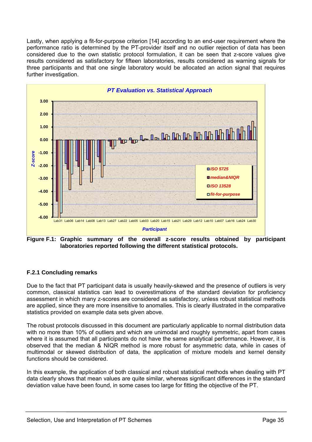Lastly, when applying a fit-for-purpose criterion [14] according to an end-user requirement where the performance ratio is determined by the PT-provider itself and no outlier rejection of data has been considered due to the own statistic protocol formulation, it can be seen that z-score values give results considered as satisfactory for fifteen laboratories, results considered as warning signals for three participants and that one single laboratory would be allocated an action signal that requires further investigation.



**Figure F.1: Graphic summary of the overall z-score results obtained by participant laboratories reported following the different statistical protocols.** 

## **F.2.1 Concluding remarks**

Due to the fact that PT participant data is usually heavily-skewed and the presence of outliers is very common, classical statistics can lead to overestimations of the standard deviation for proficiency assessment in which many z-scores are considered as satisfactory, unless robust statistical methods are applied, since they are more insensitive to anomalies. This is clearly illustrated in the comparative statistics provided on example data sets given above.

The robust protocols discussed in this document are particularly applicable to normal distribution data with no more than 10% of outliers and which are unimodal and roughly symmetric, apart from cases where it is assumed that all participants do not have the same analytical performance. However, it is observed that the median & NIQR method is more robust for asymmetric data, while in cases of multimodal or skewed distribution of data, the application of mixture models and kernel density functions should be considered.

In this example, the application of both classical and robust statistical methods when dealing with PT data clearly shows that mean values are quite similar, whereas significant differences in the standard deviation value have been found, in some cases too large for fitting the objective of the PT.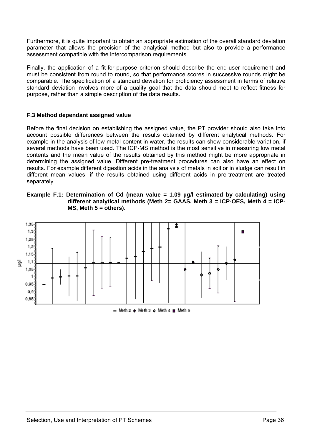Furthermore, it is quite important to obtain an appropriate estimation of the overall standard deviation parameter that allows the precision of the analytical method but also to provide a performance assessment compatible with the intercomparison requirements.

Finally, the application of a fit-for-purpose criterion should describe the end-user requirement and must be consistent from round to round, so that performance scores in successive rounds might be comparable. The specification of a standard deviation for proficiency assessment in terms of relative standard deviation involves more of a quality goal that the data should meet to reflect fitness for purpose, rather than a simple description of the data results.

## **F.3 Method dependant assigned value**

Before the final decision on establishing the assigned value, the PT provider should also take into account possible differences between the results obtained by different analytical methods. For example in the analysis of low metal content in water, the results can show considerable variation, if several methods have been used. The ICP-MS method is the most sensitive in measuring low metal contents and the mean value of the results obtained by this method might be more appropriate in determining the assigned value. Different pre-treatment procedures can also have an effect on results. For example different digestion acids in the analysis of metals in soil or in sludge can result in different mean values, if the results obtained using different acids in pre-treatment are treated separately.





 $-$  Meth 2  $+$  Meth 3  $+$  Meth 4  $-$  Meth 5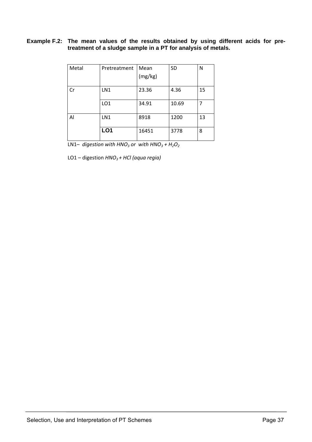## **Example F.2: The mean values of the results obtained by using different acids for pretreatment of a sludge sample in a PT for analysis of metals.**

| Metal        | Pretreatment    | Mean    | <b>SD</b> | N  |
|--------------|-----------------|---------|-----------|----|
|              |                 |         |           |    |
|              |                 | (mg/kg) |           |    |
|              |                 |         |           |    |
| Cr           | LN1             | 23.36   | 4.36      | 15 |
|              |                 |         |           |    |
|              | LO <sub>1</sub> | 34.91   | 10.69     |    |
|              |                 |         |           |    |
| $\mathsf{A}$ | LN1             | 8918    | 1200      | 13 |
|              |                 |         |           |    |
|              | LO <sub>1</sub> | 16451   | 3778      | 8  |
|              |                 |         |           |    |

LN1– *digestion* with  $HNO<sub>3</sub>$  *or* with  $HNO<sub>3</sub> + H<sub>2</sub>O<sub>2</sub>$ 

LO1 – digestion *HNO3 + HCl (aqua regia)*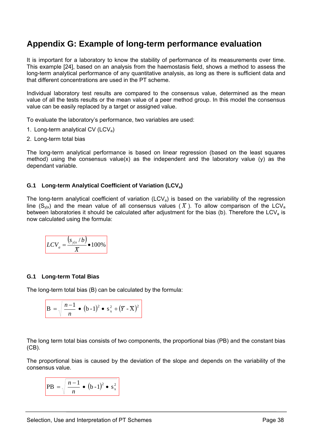## **Appendix G: Example of long-term performance evaluation**

It is important for a laboratory to know the stability of performance of its measurements over time. This example [24], based on an analysis from the haemostasis field, shows a method to assess the long-term analytical performance of any quantitative analysis, as long as there is sufficient data and that different concentrations are used in the PT scheme.

Individual laboratory test results are compared to the consensus value, determined as the mean value of all the tests results or the mean value of a peer method group. In this model the consensus value can be easily replaced by a target or assigned value.

To evaluate the laboratory's performance, two variables are used:

- 1. Long-term analytical CV (LCV<sub>a</sub>)
- 2. Long-term total bias

The long-term analytical performance is based on linear regression (based on the least squares method) using the consensus value(x) as the independent and the laboratory value (y) as the dependant variable.

## **G.1 Long-term Analytical Coefficient of Variation (LCVa)**

The long-term analytical coefficient of variation (LCV<sub>a</sub>) is based on the variability of the regression line (S<sub>vix</sub>) and the mean value of all consensus values ( $\overline{X}$ ). To allow comparison of the LCV<sub>a</sub> between laboratories it should be calculated after adjustment for the bias (b). Therefore the LCV<sub>a</sub> is now calculated using the formula:

$$
LCV_a = \frac{(s_{y|x}/b)}{\overline{X}} \cdot 100\%
$$

## **G.1 Long-term Total Bias**

The long-term total bias (B) can be calculated by the formula:

$$
B = \sqrt{\frac{n-1}{n} \cdot (b-1)^2 \cdot s_x^2 + (\overline{Y} \cdot \overline{X})^2}
$$

The long term total bias consists of two components, the proportional bias (PB) and the constant bias (CB).

The proportional bias is caused by the deviation of the slope and depends on the variability of the consensus value.

$$
PB = \sqrt{\frac{n-1}{n} \cdot (b-1)^2 \cdot s_x^2}
$$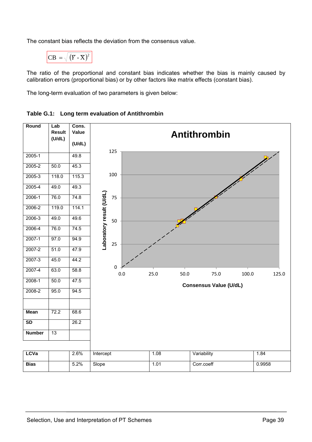The constant bias reflects the deviation from the consensus value.

CB = 
$$
\sqrt{(\overline{Y} - \overline{X})^2}
$$

The ratio of the proportional and constant bias indicates whether the bias is mainly caused by calibration errors (proportional bias) or by other factors like matrix effects (constant bias).

The long-term evaluation of two parameters is given below:

## **Table G.1: Long term evaluation of Antithrombin**

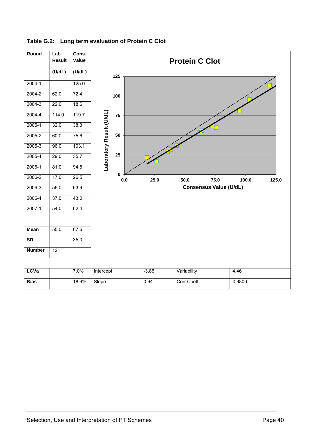| Round         | Lab<br><b>Result</b> | Cons.<br>Value | <b>Protein C Clot</b>    |              |  |         |             |                               |        |       |
|---------------|----------------------|----------------|--------------------------|--------------|--|---------|-------------|-------------------------------|--------|-------|
|               | (U/dL)               | (U/dL)         |                          | 125          |  |         |             |                               |        |       |
| $2004 - 1$    |                      | 125.0          |                          |              |  |         |             |                               |        |       |
| $2004 - 2$    | 62.0                 | 72.4           |                          | 100          |  |         |             |                               |        |       |
| $2004 - 3$    | 22.0                 | 18.6           |                          |              |  |         |             |                               |        |       |
| $2004 - 4$    | 114.0                | 119.7          |                          | 75           |  |         |             |                               |        |       |
| $2005 - 1$    | 32.0                 | 38.3           |                          |              |  |         |             |                               |        |       |
| $2005 - 2$    | 60.0                 | 75.6           |                          | 50           |  |         |             |                               |        |       |
| $2005 - 3$    | 96.0                 | 103.1          |                          |              |  |         |             |                               |        |       |
| $2005 - 4$    | 29.0                 | 35.7           | Laboratory Result (U/dL) | 25           |  |         |             |                               |        |       |
| $2006-1$      | 81.0                 | 94.8           |                          |              |  |         |             |                               |        |       |
| 2006-2        | 17.0                 | 26.5           |                          | 0<br>$0.0\,$ |  | 25.0    | 50.0        | 75.0                          | 100.0  | 125.0 |
| $2006 - 3$    | 56.0                 | 63.9           |                          |              |  |         |             | <b>Consensus Value (U/dL)</b> |        |       |
| 2006-4        | 37.0                 | 43.0           |                          |              |  |         |             |                               |        |       |
| $2007 - 1$    | 54.0                 | 62.4           |                          |              |  |         |             |                               |        |       |
| <b>Mean</b>   | 55.0                 | 67.6           |                          |              |  |         |             |                               |        |       |
| SD            |                      | 35.0           |                          |              |  |         |             |                               |        |       |
| <b>Number</b> | $\overline{12}$      |                |                          |              |  |         |             |                               |        |       |
|               |                      |                |                          |              |  |         |             |                               |        |       |
| <b>LCVa</b>   |                      | 7.0%           | Intercept                |              |  | $-3.86$ | Variability |                               | 4.46   |       |
| <b>Bias</b>   |                      | 18.9%          | Slope                    |              |  | 0.94    | Corr.Coeff  |                               | 0.9800 |       |

## **Table G.2: Long term evaluation of Protein C Clot**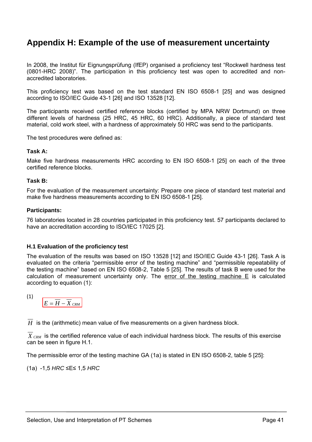# **Appendix H: Example of the use of measurement uncertainty**

In 2008, the Institut für Eignungsprüfung (IfEP) organised a proficiency test "Rockwell hardness test (0801-HRC 2008)". The participation in this proficiency test was open to accredited and nonaccredited laboratories.

This proficiency test was based on the test standard EN ISO 6508-1 [25] and was designed according to ISO/IEC Guide 43-1 [26] and ISO 13528 [12].

The participants received certified reference blocks (certified by MPA NRW Dortmund) on three different levels of hardness (25 HRC, 45 HRC, 60 HRC). Additionally, a piece of standard test material, cold work steel, with a hardness of approximately 50 HRC was send to the participants.

The test procedures were defined as:

## **Task A:**

Make five hardness measurements HRC according to EN ISO 6508-1 [25] on each of the three certified reference blocks.

#### **Task B:**

For the evaluation of the measurement uncertainty: Prepare one piece of standard test material and make five hardness measurements according to EN ISO 6508-1 [25].

#### **Participants:**

76 laboratories located in 28 countries participated in this proficiency test. 57 participants declared to have an accreditation according to ISO/IEC 17025 [2].

## **H.1 Evaluation of the proficiency test**

The evaluation of the results was based on ISO 13528 [12] and ISO/IEC Guide 43-1 [26]. Task A is evaluated on the criteria "permissible error of the testing machine" and "permissible repeatability of the testing machine" based on EN ISO 6508-2, Table 5 [25]. The results of task B were used for the calculation of measurement uncertainty only. The error of the testing machine  $E$  is calculated according to equation (1):

$$
\left( 1\right)
$$

 $E = \overline{H} - \overline{X}_{CRM}$ 

*H* is the (arithmetic) mean value of five measurements on a given hardness block.

X  $_{CRM}$  is the certified reference value of each individual hardness block. The results of this exercise can be seen in figure H.1.

The permissible error of the testing machine GA (1a) is stated in EN ISO 6508-2, table 5 [25]:

(1a) -1,5 *HRC* ≤E≤ 1,5 *HRC*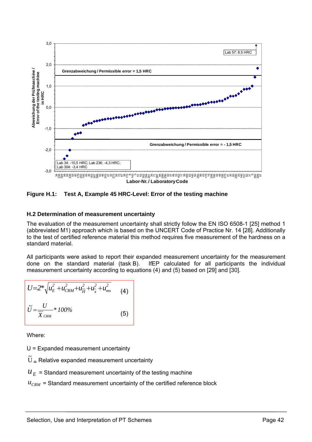

**Figure H.1: Test A, Example 45 HRC-Level: Error of the testing machine** 

#### **H.2 Determination of measurement uncertainty**

The evaluation of the measurement uncertainty shall strictly follow the EN ISO 6508-1 [25] method 1 (abbreviated M1) approach which is based on the UNCERT Code of Practice Nr. 14 [28]. Additionally to the test of certified reference material this method requires five measurement of the hardness on a standard material.

All participants were asked to report their expanded measurement uncertainty for the measurement done on the standard material (task B). IfEP calculated for all participants the individual measurement uncertainty according to equations (4) and (5) based on [29] and [30].

$$
U=2*\sqrt{u_{E}^{2}+u_{CRM}^{2}+u_{\overline{H}}^{2}+u_{x}^{2}+u_{ms}^{2}}
$$
 (4)  

$$
\tilde{U}=\frac{U}{\overline{X}_{CRM}}*100\%
$$
 (5)

Where:

U = Expanded measurement uncertainty

 $\tilde{\mathrm{U}}$  $=$  Relative expanded measurement uncertainty

## $U_F$  = Standard measurement uncertainty of the testing machine

 $u_{CRM}$  = Standard measurement uncertainty of the certified reference block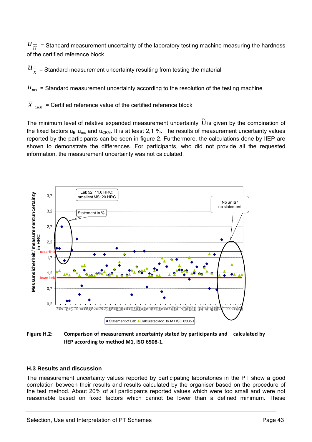$\mu_{\overline{H}}^-$  = Standard measurement uncertainty of the laboratory testing machine measuring the hardness of the certified reference block

 $u_{x}^{-}$  = Standard measurement uncertainty resulting from testing the material

 $u_{\text{ms}}$  = Standard measurement uncertainty according to the resolution of the testing machine

 $X_{CEM}$  = Certified reference value of the certified reference block

The minimum level of relative expanded measurement uncertainty  $\,\tilde{\mho}$  is given by the combination of the fixed factors  $u_{E, \mu_{\text{ms}}}$  and  $u_{CRM}$ . It is at least 2,1 %. The results of measurement uncertainty values reported by the participants can be seen in figure 2. Furthermore, the calculations done by IfEP are shown to demonstrate the differences. For participants, who did not provide all the requested information, the measurement uncertainty was not calculated.



**Figure H.2: Comparison of measurement uncertainty stated by participants and calculated by IfEP according to method M1, ISO 6508‐1.**

## **H.3 Results and discussion**

The measurement uncertainty values reported by participating laboratories in the PT show a good correlation between their results and results calculated by the organiser based on the procedure of the test method. About 20% of all participants reported values which were too small and were not reasonable based on fixed factors which cannot be lower than a defined minimum. These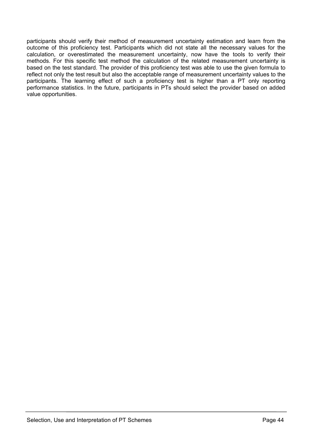participants should verify their method of measurement uncertainty estimation and learn from the outcome of this proficiency test. Participants which did not state all the necessary values for the calculation, or overestimated the measurement uncertainty, now have the tools to verify their methods. For this specific test method the calculation of the related measurement uncertainty is based on the test standard. The provider of this proficiency test was able to use the given formula to reflect not only the test result but also the acceptable range of measurement uncertainty values to the participants. The learning effect of such a proficiency test is higher than a PT only reporting performance statistics. In the future, participants in PTs should select the provider based on added value opportunities.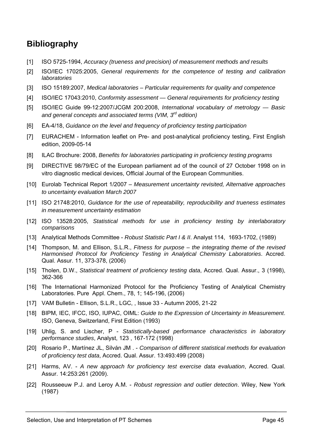# **Bibliography**

- [1] ISO 5725-1994, *Accuracy (trueness and precision) of measurement methods and results*
- [2] ISO/IEC 17025:2005, *General requirements for the competence of testing and calibration laboratories*
- [3] ISO 15189:2007, *Medical laboratories Particular requirements for quality and competence*
- [4] ISO/IEC 17043:2010, *Conformity assessment General requirements for proficiency testing*
- [5] ISO/IEC Guide 99-12:2007/JCGM 200:2008, *International vocabulary of metrology Basic and general concepts and associated terms (VIM, 3rd edition)*
- [6] EA-4/18, *Guidance on the level and frequency of proficiency testing participation*
- [7] EURACHEM Information leaflet on Pre- and post-analytical proficiency testing, First English edition, 2009-05-14
- [8] ILAC Brochure: 2008, *Benefits for laboratories participating in proficiency testing programs*
- [9] DIRECTIVE 98/79/EC of the European parliament ad of the council of 27 October 1998 on in vitro diagnostic medical devices, Official Journal of the European Communities.
- [10] Eurolab Technical Report 1/2007 *Measurement uncertainty revisited, Alternative approaches to uncertainty evaluation March 2007*
- [11] ISO 21748:2010, *Guidance for the use of repeatability, reproducibility and trueness estimates in measurement uncertainty estimation*
- [12] ISO 13528:2005, *Statistical methods for use in proficiency testing by interlaboratory comparisons*
- [13] Analytical Methods Committee *Robust Statistic Part I & II*. Analyst 114, 1693-1702, (1989)
- [14] Thompson, M. and Ellison, S.L.R., *Fitness for purpose – the integrating theme of the revised Harmonised Protocol for Proficiency Testing in Analytical Chemistry Laboratories*. Accred. Qual. Assur. 11, 373-378, (2006)
- [15] Tholen, D.W., *Statistical treatment of proficiency testing data*, Accred. Qual. Assur., 3 (1998), 362-366
- [16] The International Harmonized Protocol for the Proficiency Testing of Analytical Chemistry Laboratories. Pure Appl. Chem., 78, 1; 145-196, (2006)
- [17] VAM Bulletin Ellison, S.L.R., LGC, , Issue 33 Autumn 2005, 21-22
- [18] BIPM, IEC, IFCC, ISO, IUPAC, OIML: *Guide to the Expression of Uncertainty in Measurement*. ISO, Geneva, Switzerland, First Edition (1993)
- [19] Uhlig, S. and Lischer, P *Statistically-based performance characteristics in laboratory performance studies*, Analyst, 123 , 167-172 (1998)
- [20] Rosario P., Martínez JL, Silván JM . *Comparison of different statistical methods for evaluation of proficiency test data*, Accred. Qual. Assur. 13:493:499 (2008)
- [21] Harms, AV. *A new approach for proficiency test exercise data evaluation*, Accred. Qual. Assur. 14:253:261 (2009).
- [22] Rousseeuw P.J. and Leroy A.M. *Robust regression and outlier detection*. Wiley, New York (1987)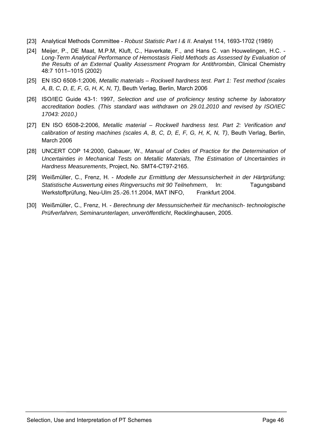- [23] Analytical Methods Committee *Robust Statistic Part I & II*. Analyst 114, 1693-1702 (1989)
- [24] Meijer, P., DE Maat, M.P.M, Kluft, C., Haverkate, F., and Hans C. van Houwelingen, H.C. *Long-Term Analytical Performance of Hemostasis Field Methods as Assessed by Evaluation of the Results of an External Quality Assessment Program for Antithrombin*, Clinical Chemistry 48:7 1011–1015 (2002)
- [25] EN ISO 6508-1:2006, *Metallic materials Rockwell hardness test. Part 1: Test method (scales A, B, C, D, E, F, G, H, K, N, T)*, Beuth Verlag, Berlin, March 2006
- [26] ISO/IEC Guide 43-1: 1997, *Selection and use of proficiency testing scheme by laboratory accreditation bodies. (This standard was withdrawn on 29.01.2010 and revised by ISO/IEC 17043: 2010.)*
- [27] EN ISO 6508-2:2006, *Metallic material Rockwell hardness test. Part 2: Verification and calibration of testing machines (scales A, B, C, D, E, F, G, H, K, N, T)*, Beuth Verlag, Berlin, March 2006
- [28] UNCERT COP 14:2000, Gabauer, W., *Manual of Codes of Practice for the Determination of Uncertainties in Mechanical Tests on Metallic Materials, The Estimation of Uncertainties in Hardness Measurements*, Project, No. SMT4-CT97-2165.
- [29] Weißmüller, C., Frenz, H. *Modelle zur Ermittlung der Messunsicherheit in der Härtprüfung; Statistische Auswertung eines Ringversuchs mit 90 Teilnehmern*, In: Tagungsband Werkstoffprüfung, Neu-Ulm 25.-26.11.2004, MAT INFO, Frankfurt 2004.
- [30] Weißmüller, C., Frenz, H. *Berechnung der Messunsicherheit für mechanisch- technologische Prüfverfahren, Seminarunterlagen, unveröffentlicht*, Recklinghausen, 2005.